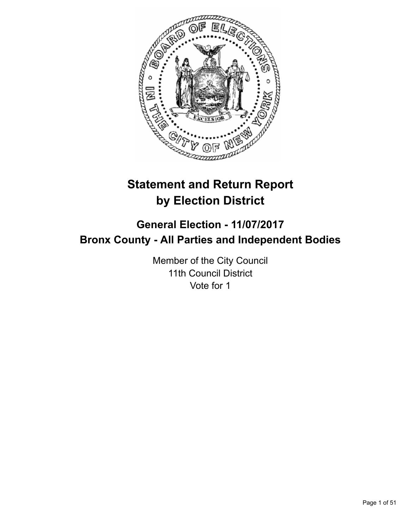

# **Statement and Return Report by Election District**

# **General Election - 11/07/2017 Bronx County - All Parties and Independent Bodies**

Member of the City Council 11th Council District Vote for 1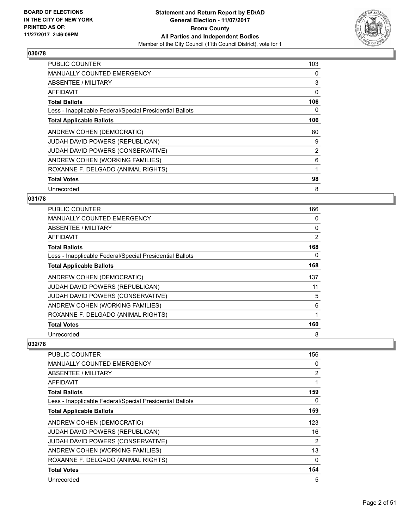

| <b>PUBLIC COUNTER</b>                                    | 103 |
|----------------------------------------------------------|-----|
| <b>MANUALLY COUNTED EMERGENCY</b>                        | 0   |
| ABSENTEE / MILITARY                                      | 3   |
| AFFIDAVIT                                                | 0   |
| <b>Total Ballots</b>                                     | 106 |
| Less - Inapplicable Federal/Special Presidential Ballots | 0   |
| <b>Total Applicable Ballots</b>                          | 106 |
| ANDREW COHEN (DEMOCRATIC)                                | 80  |
| JUDAH DAVID POWERS (REPUBLICAN)                          | 9   |
| JUDAH DAVID POWERS (CONSERVATIVE)                        | 2   |
| ANDREW COHEN (WORKING FAMILIES)                          | 6   |
| ROXANNE F. DELGADO (ANIMAL RIGHTS)                       | 1   |
| <b>Total Votes</b>                                       | 98  |
| Unrecorded                                               | 8   |

## **031/78**

| <b>PUBLIC COUNTER</b>                                    | 166 |
|----------------------------------------------------------|-----|
| <b>MANUALLY COUNTED EMERGENCY</b>                        | 0   |
| ABSENTEE / MILITARY                                      | 0   |
| AFFIDAVIT                                                | 2   |
| <b>Total Ballots</b>                                     | 168 |
| Less - Inapplicable Federal/Special Presidential Ballots | 0   |
| <b>Total Applicable Ballots</b>                          | 168 |
| ANDREW COHEN (DEMOCRATIC)                                | 137 |
| JUDAH DAVID POWERS (REPUBLICAN)                          | 11  |
| JUDAH DAVID POWERS (CONSERVATIVE)                        | 5   |
| ANDREW COHEN (WORKING FAMILIES)                          | 6   |
| ROXANNE F. DELGADO (ANIMAL RIGHTS)                       |     |
| <b>Total Votes</b>                                       | 160 |
| Unrecorded                                               | 8   |

| <b>PUBLIC COUNTER</b>                                    | 156      |
|----------------------------------------------------------|----------|
| <b>MANUALLY COUNTED EMERGENCY</b>                        | 0        |
| ABSENTEE / MILITARY                                      | 2        |
| AFFIDAVIT                                                | 1        |
| <b>Total Ballots</b>                                     | 159      |
| Less - Inapplicable Federal/Special Presidential Ballots | 0        |
| <b>Total Applicable Ballots</b>                          | 159      |
| ANDREW COHEN (DEMOCRATIC)                                | 123      |
| <b>JUDAH DAVID POWERS (REPUBLICAN)</b>                   | 16       |
| <b>JUDAH DAVID POWERS (CONSERVATIVE)</b>                 | 2        |
| ANDREW COHEN (WORKING FAMILIES)                          | 13       |
| ROXANNE F. DELGADO (ANIMAL RIGHTS)                       | $\Omega$ |
| <b>Total Votes</b>                                       | 154      |
| Unrecorded                                               | 5        |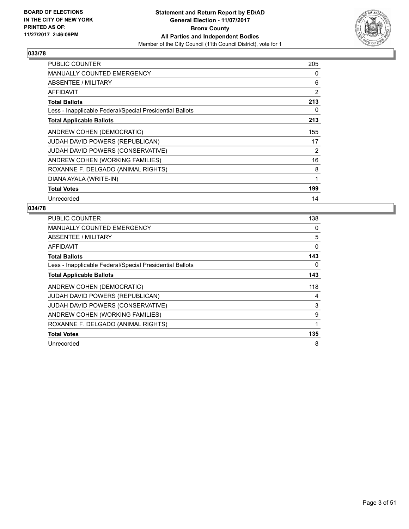

| <b>PUBLIC COUNTER</b>                                    | 205 |
|----------------------------------------------------------|-----|
| <b>MANUALLY COUNTED EMERGENCY</b>                        | 0   |
| ABSENTEE / MILITARY                                      | 6   |
| AFFIDAVIT                                                | 2   |
| <b>Total Ballots</b>                                     | 213 |
| Less - Inapplicable Federal/Special Presidential Ballots | 0   |
| <b>Total Applicable Ballots</b>                          | 213 |
| ANDREW COHEN (DEMOCRATIC)                                | 155 |
| <b>JUDAH DAVID POWERS (REPUBLICAN)</b>                   | 17  |
| JUDAH DAVID POWERS (CONSERVATIVE)                        | 2   |
| ANDREW COHEN (WORKING FAMILIES)                          | 16  |
| ROXANNE F. DELGADO (ANIMAL RIGHTS)                       | 8   |
| DIANA AYALA (WRITE-IN)                                   | 1   |
| <b>Total Votes</b>                                       | 199 |
| Unrecorded                                               | 14  |

| <b>PUBLIC COUNTER</b>                                    | 138 |
|----------------------------------------------------------|-----|
| <b>MANUALLY COUNTED EMERGENCY</b>                        | 0   |
| <b>ABSENTEE / MILITARY</b>                               | 5   |
| AFFIDAVIT                                                | 0   |
| <b>Total Ballots</b>                                     | 143 |
| Less - Inapplicable Federal/Special Presidential Ballots | 0   |
| <b>Total Applicable Ballots</b>                          | 143 |
| ANDREW COHEN (DEMOCRATIC)                                | 118 |
| <b>JUDAH DAVID POWERS (REPUBLICAN)</b>                   | 4   |
| JUDAH DAVID POWERS (CONSERVATIVE)                        | 3   |
| ANDREW COHEN (WORKING FAMILIES)                          | 9   |
| ROXANNE F. DELGADO (ANIMAL RIGHTS)                       |     |
|                                                          |     |
| <b>Total Votes</b>                                       | 135 |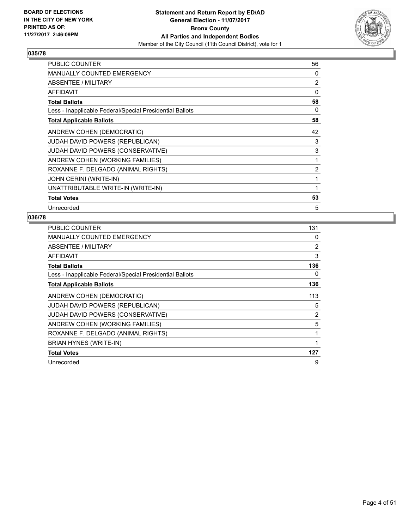

| <b>PUBLIC COUNTER</b>                                    | 56 |
|----------------------------------------------------------|----|
| <b>MANUALLY COUNTED EMERGENCY</b>                        | 0  |
| ABSENTEE / MILITARY                                      | 2  |
| AFFIDAVIT                                                | 0  |
| <b>Total Ballots</b>                                     | 58 |
| Less - Inapplicable Federal/Special Presidential Ballots | 0  |
| <b>Total Applicable Ballots</b>                          | 58 |
| ANDREW COHEN (DEMOCRATIC)                                | 42 |
| JUDAH DAVID POWERS (REPUBLICAN)                          | 3  |
| JUDAH DAVID POWERS (CONSERVATIVE)                        | 3  |
| ANDREW COHEN (WORKING FAMILIES)                          | 1  |
| ROXANNE F. DELGADO (ANIMAL RIGHTS)                       | 2  |
| JOHN CERINI (WRITE-IN)                                   | 1  |
| UNATTRIBUTABLE WRITE-IN (WRITE-IN)                       | 1  |
| <b>Total Votes</b>                                       | 53 |
| Unrecorded                                               | 5  |

| <b>PUBLIC COUNTER</b>                                    | 131 |
|----------------------------------------------------------|-----|
| <b>MANUALLY COUNTED EMERGENCY</b>                        | 0   |
| ABSENTEE / MILITARY                                      | 2   |
| AFFIDAVIT                                                | 3   |
| <b>Total Ballots</b>                                     | 136 |
| Less - Inapplicable Federal/Special Presidential Ballots | 0   |
| <b>Total Applicable Ballots</b>                          | 136 |
| ANDREW COHEN (DEMOCRATIC)                                | 113 |
| JUDAH DAVID POWERS (REPUBLICAN)                          | 5   |
| <b>JUDAH DAVID POWERS (CONSERVATIVE)</b>                 | 2   |
| ANDREW COHEN (WORKING FAMILIES)                          | 5   |
| ROXANNE F. DELGADO (ANIMAL RIGHTS)                       | 1   |
| BRIAN HYNES (WRITE-IN)                                   | 1   |
| <b>Total Votes</b>                                       | 127 |
| Unrecorded                                               | 9   |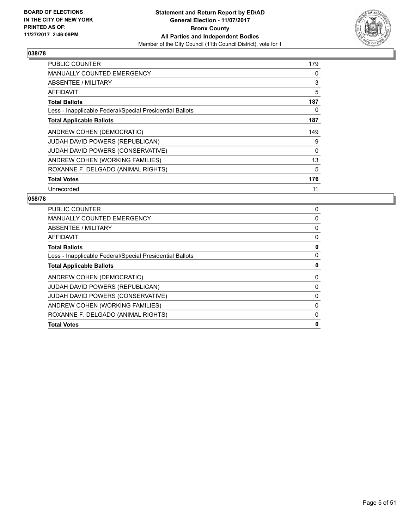

| <b>PUBLIC COUNTER</b>                                    | 179 |
|----------------------------------------------------------|-----|
| <b>MANUALLY COUNTED EMERGENCY</b>                        | 0   |
| ABSENTEE / MILITARY                                      | 3   |
| AFFIDAVIT                                                | 5   |
| <b>Total Ballots</b>                                     | 187 |
| Less - Inapplicable Federal/Special Presidential Ballots | 0   |
| <b>Total Applicable Ballots</b>                          | 187 |
| ANDREW COHEN (DEMOCRATIC)                                | 149 |
| <b>JUDAH DAVID POWERS (REPUBLICAN)</b>                   | 9   |
|                                                          |     |
| JUDAH DAVID POWERS (CONSERVATIVE)                        | 0   |
| ANDREW COHEN (WORKING FAMILIES)                          | 13  |
| ROXANNE F. DELGADO (ANIMAL RIGHTS)                       | 5   |
| <b>Total Votes</b>                                       | 176 |

| <b>PUBLIC COUNTER</b>                                    | 0        |
|----------------------------------------------------------|----------|
| <b>MANUALLY COUNTED EMERGENCY</b>                        | 0        |
| ABSENTEE / MILITARY                                      | 0        |
| AFFIDAVIT                                                | 0        |
| <b>Total Ballots</b>                                     | 0        |
| Less - Inapplicable Federal/Special Presidential Ballots | 0        |
| <b>Total Applicable Ballots</b>                          | 0        |
| ANDREW COHEN (DEMOCRATIC)                                | 0        |
| <b>JUDAH DAVID POWERS (REPUBLICAN)</b>                   | $\Omega$ |
| <b>JUDAH DAVID POWERS (CONSERVATIVE)</b>                 | 0        |
| ANDREW COHEN (WORKING FAMILIES)                          | 0        |
| ROXANNE F. DELGADO (ANIMAL RIGHTS)                       | 0        |
| <b>Total Votes</b>                                       | 0        |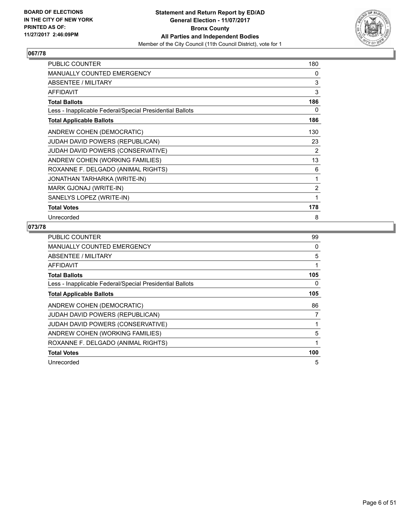

| <b>PUBLIC COUNTER</b>                                    | 180 |
|----------------------------------------------------------|-----|
| <b>MANUALLY COUNTED EMERGENCY</b>                        | 0   |
| ABSENTEE / MILITARY                                      | 3   |
| <b>AFFIDAVIT</b>                                         | 3   |
| <b>Total Ballots</b>                                     | 186 |
| Less - Inapplicable Federal/Special Presidential Ballots | 0   |
| <b>Total Applicable Ballots</b>                          | 186 |
| ANDREW COHEN (DEMOCRATIC)                                | 130 |
| JUDAH DAVID POWERS (REPUBLICAN)                          | 23  |
| JUDAH DAVID POWERS (CONSERVATIVE)                        | 2   |
| ANDREW COHEN (WORKING FAMILIES)                          | 13  |
| ROXANNE F. DELGADO (ANIMAL RIGHTS)                       | 6   |
| JONATHAN TARHARKA (WRITE-IN)                             | 1   |
| MARK GJONAJ (WRITE-IN)                                   | 2   |
| SANELYS LOPEZ (WRITE-IN)                                 | 1   |
| <b>Total Votes</b>                                       | 178 |
| Unrecorded                                               | 8   |

| <b>PUBLIC COUNTER</b>                                    | 99  |
|----------------------------------------------------------|-----|
| <b>MANUALLY COUNTED EMERGENCY</b>                        | 0   |
| ABSENTEE / MILITARY                                      | 5   |
| AFFIDAVIT                                                | 1   |
| <b>Total Ballots</b>                                     | 105 |
| Less - Inapplicable Federal/Special Presidential Ballots | 0   |
| <b>Total Applicable Ballots</b>                          | 105 |
| ANDREW COHEN (DEMOCRATIC)                                | 86  |
| JUDAH DAVID POWERS (REPUBLICAN)                          | 7   |
| JUDAH DAVID POWERS (CONSERVATIVE)                        |     |
| ANDREW COHEN (WORKING FAMILIES)                          | 5   |
|                                                          |     |
| ROXANNE F. DELGADO (ANIMAL RIGHTS)                       | 1   |
| <b>Total Votes</b>                                       | 100 |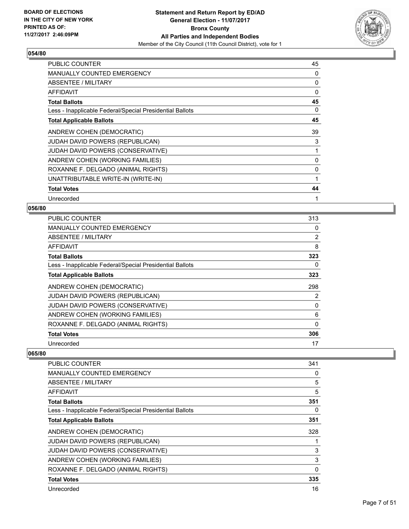

| <b>PUBLIC COUNTER</b>                                    | 45 |
|----------------------------------------------------------|----|
| <b>MANUALLY COUNTED EMERGENCY</b>                        | 0  |
| ABSENTEE / MILITARY                                      | 0  |
| <b>AFFIDAVIT</b>                                         | 0  |
| <b>Total Ballots</b>                                     | 45 |
| Less - Inapplicable Federal/Special Presidential Ballots | 0  |
| <b>Total Applicable Ballots</b>                          | 45 |
| ANDREW COHEN (DEMOCRATIC)                                | 39 |
| JUDAH DAVID POWERS (REPUBLICAN)                          | 3  |
| JUDAH DAVID POWERS (CONSERVATIVE)                        | 1  |
| ANDREW COHEN (WORKING FAMILIES)                          | 0  |
| ROXANNE F. DELGADO (ANIMAL RIGHTS)                       | 0  |
| UNATTRIBUTABLE WRITE-IN (WRITE-IN)                       | 1  |
| <b>Total Votes</b>                                       | 44 |
| Unrecorded                                               | 1  |

#### **056/80**

| <b>PUBLIC COUNTER</b>                                    | 313 |
|----------------------------------------------------------|-----|
| <b>MANUALLY COUNTED EMERGENCY</b>                        | 0   |
| ABSENTEE / MILITARY                                      | 2   |
| AFFIDAVIT                                                | 8   |
| <b>Total Ballots</b>                                     | 323 |
| Less - Inapplicable Federal/Special Presidential Ballots | 0   |
| <b>Total Applicable Ballots</b>                          | 323 |
| ANDREW COHEN (DEMOCRATIC)                                | 298 |
| <b>JUDAH DAVID POWERS (REPUBLICAN)</b>                   | 2   |
| <b>JUDAH DAVID POWERS (CONSERVATIVE)</b>                 | 0   |
| ANDREW COHEN (WORKING FAMILIES)                          | 6   |
| ROXANNE F. DELGADO (ANIMAL RIGHTS)                       | 0   |
| <b>Total Votes</b>                                       | 306 |
| Unrecorded                                               | 17  |

| PUBLIC COUNTER                                           | 341          |
|----------------------------------------------------------|--------------|
| <b>MANUALLY COUNTED EMERGENCY</b>                        | 0            |
| ABSENTEE / MILITARY                                      | 5            |
| <b>AFFIDAVIT</b>                                         | 5            |
| <b>Total Ballots</b>                                     | 351          |
| Less - Inapplicable Federal/Special Presidential Ballots | 0            |
| <b>Total Applicable Ballots</b>                          | 351          |
| ANDREW COHEN (DEMOCRATIC)                                | 328          |
| JUDAH DAVID POWERS (REPUBLICAN)                          | 1            |
| JUDAH DAVID POWERS (CONSERVATIVE)                        | 3            |
| ANDREW COHEN (WORKING FAMILIES)                          | 3            |
| ROXANNE F. DELGADO (ANIMAL RIGHTS)                       | $\mathbf{0}$ |
| <b>Total Votes</b>                                       | 335          |
| Unrecorded                                               | 16           |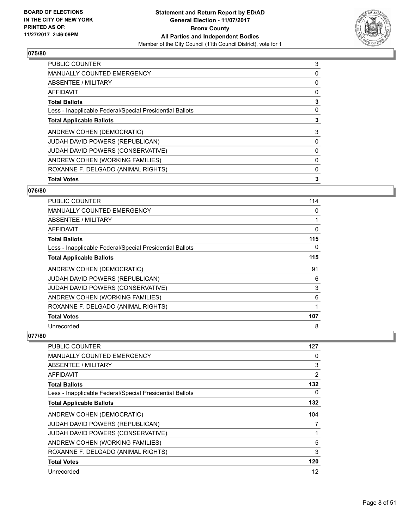

| PUBLIC COUNTER                                           | 3        |
|----------------------------------------------------------|----------|
| <b>MANUALLY COUNTED EMERGENCY</b>                        | 0        |
| ABSENTEE / MILITARY                                      | 0        |
| <b>AFFIDAVIT</b>                                         | 0        |
| <b>Total Ballots</b>                                     | 3        |
| Less - Inapplicable Federal/Special Presidential Ballots | 0        |
| <b>Total Applicable Ballots</b>                          | 3        |
| ANDREW COHEN (DEMOCRATIC)                                | 3        |
| <b>JUDAH DAVID POWERS (REPUBLICAN)</b>                   | $\Omega$ |
| <b>JUDAH DAVID POWERS (CONSERVATIVE)</b>                 | 0        |
| ANDREW COHEN (WORKING FAMILIES)                          | 0        |
| ROXANNE F. DELGADO (ANIMAL RIGHTS)                       | 0        |
| <b>Total Votes</b>                                       | 3        |
|                                                          |          |

# **076/80**

| <b>PUBLIC COUNTER</b>                                    | 114      |
|----------------------------------------------------------|----------|
| <b>MANUALLY COUNTED EMERGENCY</b>                        | 0        |
| ABSENTEE / MILITARY                                      |          |
| <b>AFFIDAVIT</b>                                         | $\Omega$ |
| <b>Total Ballots</b>                                     | 115      |
| Less - Inapplicable Federal/Special Presidential Ballots | 0        |
| <b>Total Applicable Ballots</b>                          | 115      |
| ANDREW COHEN (DEMOCRATIC)                                | 91       |
| JUDAH DAVID POWERS (REPUBLICAN)                          | 6        |
| JUDAH DAVID POWERS (CONSERVATIVE)                        | 3        |
| ANDREW COHEN (WORKING FAMILIES)                          | 6        |
| ROXANNE F. DELGADO (ANIMAL RIGHTS)                       |          |
| <b>Total Votes</b>                                       | 107      |
| Unrecorded                                               | 8        |

| <b>PUBLIC COUNTER</b>                                    | 127 |
|----------------------------------------------------------|-----|
| <b>MANUALLY COUNTED EMERGENCY</b>                        | 0   |
| ABSENTEE / MILITARY                                      | 3   |
| AFFIDAVIT                                                | 2   |
| <b>Total Ballots</b>                                     | 132 |
| Less - Inapplicable Federal/Special Presidential Ballots | 0   |
| <b>Total Applicable Ballots</b>                          | 132 |
| ANDREW COHEN (DEMOCRATIC)                                | 104 |
| JUDAH DAVID POWERS (REPUBLICAN)                          | 7   |
| JUDAH DAVID POWERS (CONSERVATIVE)                        |     |
| ANDREW COHEN (WORKING FAMILIES)                          | 5   |
| ROXANNE F. DELGADO (ANIMAL RIGHTS)                       | 3   |
| <b>Total Votes</b>                                       | 120 |
| Unrecorded                                               | 12  |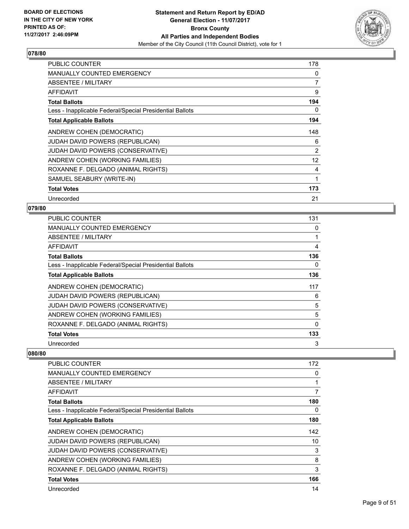

| <b>PUBLIC COUNTER</b>                                    | 178 |
|----------------------------------------------------------|-----|
| <b>MANUALLY COUNTED EMERGENCY</b>                        | 0   |
| ABSENTEE / MILITARY                                      | 7   |
| <b>AFFIDAVIT</b>                                         | 9   |
| <b>Total Ballots</b>                                     | 194 |
| Less - Inapplicable Federal/Special Presidential Ballots | 0   |
| <b>Total Applicable Ballots</b>                          | 194 |
| ANDREW COHEN (DEMOCRATIC)                                | 148 |
| <b>JUDAH DAVID POWERS (REPUBLICAN)</b>                   | 6   |
| JUDAH DAVID POWERS (CONSERVATIVE)                        | 2   |
| ANDREW COHEN (WORKING FAMILIES)                          | 12  |
| ROXANNE F. DELGADO (ANIMAL RIGHTS)                       | 4   |
| SAMUEL SEABURY (WRITE-IN)                                | 1   |
| <b>Total Votes</b>                                       | 173 |
| Unrecorded                                               | 21  |

#### **079/80**

| <b>PUBLIC COUNTER</b>                                    | 131 |
|----------------------------------------------------------|-----|
| <b>MANUALLY COUNTED EMERGENCY</b>                        | 0   |
| ABSENTEE / MILITARY                                      |     |
| AFFIDAVIT                                                | 4   |
| <b>Total Ballots</b>                                     | 136 |
| Less - Inapplicable Federal/Special Presidential Ballots | 0   |
| <b>Total Applicable Ballots</b>                          | 136 |
| ANDREW COHEN (DEMOCRATIC)                                | 117 |
| JUDAH DAVID POWERS (REPUBLICAN)                          | 6   |
| JUDAH DAVID POWERS (CONSERVATIVE)                        | 5   |
| ANDREW COHEN (WORKING FAMILIES)                          | 5   |
| ROXANNE F. DELGADO (ANIMAL RIGHTS)                       | 0   |
| <b>Total Votes</b>                                       | 133 |
| Unrecorded                                               | 3   |

| PUBLIC COUNTER                                           | 172 |
|----------------------------------------------------------|-----|
| <b>MANUALLY COUNTED EMERGENCY</b>                        | 0   |
| ABSENTEE / MILITARY                                      | 1   |
| <b>AFFIDAVIT</b>                                         | 7   |
| <b>Total Ballots</b>                                     | 180 |
| Less - Inapplicable Federal/Special Presidential Ballots | 0   |
| <b>Total Applicable Ballots</b>                          | 180 |
| ANDREW COHEN (DEMOCRATIC)                                | 142 |
| JUDAH DAVID POWERS (REPUBLICAN)                          | 10  |
| JUDAH DAVID POWERS (CONSERVATIVE)                        | 3   |
| ANDREW COHEN (WORKING FAMILIES)                          | 8   |
| ROXANNE F. DELGADO (ANIMAL RIGHTS)                       | 3   |
| <b>Total Votes</b>                                       | 166 |
| Unrecorded                                               | 14  |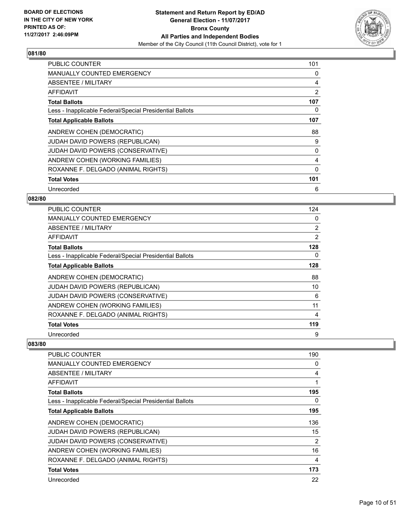

| <b>PUBLIC COUNTER</b>                                    | 101 |
|----------------------------------------------------------|-----|
| <b>MANUALLY COUNTED EMERGENCY</b>                        | 0   |
| <b>ABSENTEE / MILITARY</b>                               | 4   |
| AFFIDAVIT                                                | 2   |
| <b>Total Ballots</b>                                     | 107 |
| Less - Inapplicable Federal/Special Presidential Ballots | 0   |
| <b>Total Applicable Ballots</b>                          | 107 |
| ANDREW COHEN (DEMOCRATIC)                                | 88  |
| <b>JUDAH DAVID POWERS (REPUBLICAN)</b>                   | 9   |
| JUDAH DAVID POWERS (CONSERVATIVE)                        | 0   |
| ANDREW COHEN (WORKING FAMILIES)                          | 4   |
| ROXANNE F. DELGADO (ANIMAL RIGHTS)                       | 0   |
| <b>Total Votes</b>                                       | 101 |
| Unrecorded                                               | 6   |

## **082/80**

| PUBLIC COUNTER                                           | 124            |
|----------------------------------------------------------|----------------|
| <b>MANUALLY COUNTED EMERGENCY</b>                        | 0              |
| <b>ABSENTEE / MILITARY</b>                               | $\overline{2}$ |
| AFFIDAVIT                                                | 2              |
| <b>Total Ballots</b>                                     | 128            |
| Less - Inapplicable Federal/Special Presidential Ballots | 0              |
| <b>Total Applicable Ballots</b>                          | 128            |
| ANDREW COHEN (DEMOCRATIC)                                | 88             |
| <b>JUDAH DAVID POWERS (REPUBLICAN)</b>                   | 10             |
| JUDAH DAVID POWERS (CONSERVATIVE)                        | 6              |
| ANDREW COHEN (WORKING FAMILIES)                          | 11             |
| ROXANNE F. DELGADO (ANIMAL RIGHTS)                       | 4              |
| <b>Total Votes</b>                                       | 119            |
| Unrecorded                                               | 9              |

| <b>PUBLIC COUNTER</b>                                    | 190 |
|----------------------------------------------------------|-----|
| <b>MANUALLY COUNTED EMERGENCY</b>                        | 0   |
| ABSENTEE / MILITARY                                      | 4   |
| <b>AFFIDAVIT</b>                                         |     |
| <b>Total Ballots</b>                                     | 195 |
| Less - Inapplicable Federal/Special Presidential Ballots | 0   |
| <b>Total Applicable Ballots</b>                          | 195 |
| ANDREW COHEN (DEMOCRATIC)                                | 136 |
| <b>JUDAH DAVID POWERS (REPUBLICAN)</b>                   | 15  |
| JUDAH DAVID POWERS (CONSERVATIVE)                        | 2   |
| ANDREW COHEN (WORKING FAMILIES)                          | 16  |
| ROXANNE F. DELGADO (ANIMAL RIGHTS)                       | 4   |
| <b>Total Votes</b>                                       | 173 |
| Unrecorded                                               | 22  |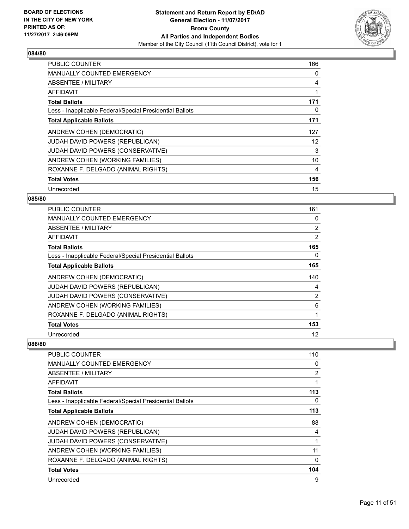

| <b>PUBLIC COUNTER</b>                                    | 166 |
|----------------------------------------------------------|-----|
| <b>MANUALLY COUNTED EMERGENCY</b>                        | 0   |
| <b>ABSENTEE / MILITARY</b>                               | 4   |
| <b>AFFIDAVIT</b>                                         | 1   |
| <b>Total Ballots</b>                                     | 171 |
| Less - Inapplicable Federal/Special Presidential Ballots | 0   |
| <b>Total Applicable Ballots</b>                          | 171 |
| ANDREW COHEN (DEMOCRATIC)                                | 127 |
| <b>JUDAH DAVID POWERS (REPUBLICAN)</b>                   | 12  |
| JUDAH DAVID POWERS (CONSERVATIVE)                        | 3   |
| ANDREW COHEN (WORKING FAMILIES)                          | 10  |
| ROXANNE F. DELGADO (ANIMAL RIGHTS)                       | 4   |
| <b>Total Votes</b>                                       | 156 |
| Unrecorded                                               | 15  |

## **085/80**

| PUBLIC COUNTER                                           | 161            |
|----------------------------------------------------------|----------------|
| <b>MANUALLY COUNTED EMERGENCY</b>                        | 0              |
| <b>ABSENTEE / MILITARY</b>                               | $\overline{2}$ |
| AFFIDAVIT                                                | 2              |
| <b>Total Ballots</b>                                     | 165            |
| Less - Inapplicable Federal/Special Presidential Ballots | 0              |
| <b>Total Applicable Ballots</b>                          | 165            |
| ANDREW COHEN (DEMOCRATIC)                                | 140            |
| JUDAH DAVID POWERS (REPUBLICAN)                          | 4              |
| JUDAH DAVID POWERS (CONSERVATIVE)                        | $\overline{2}$ |
| ANDREW COHEN (WORKING FAMILIES)                          | 6              |
| ROXANNE F. DELGADO (ANIMAL RIGHTS)                       |                |
| <b>Total Votes</b>                                       | 153            |
| Unrecorded                                               | 12             |

| <b>PUBLIC COUNTER</b>                                    | 110 |
|----------------------------------------------------------|-----|
| <b>MANUALLY COUNTED EMERGENCY</b>                        | 0   |
| ABSENTEE / MILITARY                                      | 2   |
| AFFIDAVIT                                                | 1   |
| <b>Total Ballots</b>                                     | 113 |
| Less - Inapplicable Federal/Special Presidential Ballots | 0   |
| <b>Total Applicable Ballots</b>                          | 113 |
| ANDREW COHEN (DEMOCRATIC)                                | 88  |
| <b>JUDAH DAVID POWERS (REPUBLICAN)</b>                   | 4   |
| JUDAH DAVID POWERS (CONSERVATIVE)                        | 1   |
| ANDREW COHEN (WORKING FAMILIES)                          | 11  |
| ROXANNE F. DELGADO (ANIMAL RIGHTS)                       | 0   |
| <b>Total Votes</b>                                       | 104 |
| Unrecorded                                               | 9   |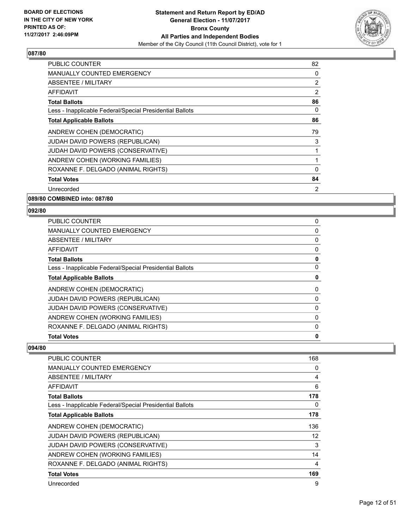

| <b>PUBLIC COUNTER</b>                                    | 82 |
|----------------------------------------------------------|----|
| <b>MANUALLY COUNTED EMERGENCY</b>                        | 0  |
| ABSENTEE / MILITARY                                      | 2  |
| AFFIDAVIT                                                | 2  |
| <b>Total Ballots</b>                                     | 86 |
| Less - Inapplicable Federal/Special Presidential Ballots | 0  |
| <b>Total Applicable Ballots</b>                          | 86 |
| ANDREW COHEN (DEMOCRATIC)                                | 79 |
| <b>JUDAH DAVID POWERS (REPUBLICAN)</b>                   | 3  |
| JUDAH DAVID POWERS (CONSERVATIVE)                        | 1  |
| ANDREW COHEN (WORKING FAMILIES)                          | 1  |
| ROXANNE F. DELGADO (ANIMAL RIGHTS)                       | 0  |
| <b>Total Votes</b>                                       | 84 |
| Unrecorded                                               | 2  |
|                                                          |    |

**089/80 COMBINED into: 087/80**

#### **092/80**

| <b>PUBLIC COUNTER</b>                                    | 0 |
|----------------------------------------------------------|---|
| <b>MANUALLY COUNTED EMERGENCY</b>                        | 0 |
| ABSENTEE / MILITARY                                      | 0 |
| AFFIDAVIT                                                | 0 |
| <b>Total Ballots</b>                                     | 0 |
| Less - Inapplicable Federal/Special Presidential Ballots | 0 |
| <b>Total Applicable Ballots</b>                          | 0 |
| ANDREW COHEN (DEMOCRATIC)                                | 0 |
| <b>JUDAH DAVID POWERS (REPUBLICAN)</b>                   | 0 |
| <b>JUDAH DAVID POWERS (CONSERVATIVE)</b>                 | 0 |
| ANDREW COHEN (WORKING FAMILIES)                          | 0 |
| ROXANNE F. DELGADO (ANIMAL RIGHTS)                       | 0 |
| <b>Total Votes</b>                                       | 0 |
|                                                          |   |

| <b>PUBLIC COUNTER</b>                                    | 168               |
|----------------------------------------------------------|-------------------|
| <b>MANUALLY COUNTED EMERGENCY</b>                        | 0                 |
| <b>ABSENTEE / MILITARY</b>                               | 4                 |
| AFFIDAVIT                                                | 6                 |
| <b>Total Ballots</b>                                     | 178               |
| Less - Inapplicable Federal/Special Presidential Ballots | 0                 |
| <b>Total Applicable Ballots</b>                          | 178               |
| ANDREW COHEN (DEMOCRATIC)                                | 136               |
| <b>JUDAH DAVID POWERS (REPUBLICAN)</b>                   | $12 \overline{ }$ |
| JUDAH DAVID POWERS (CONSERVATIVE)                        | 3                 |
| ANDREW COHEN (WORKING FAMILIES)                          | 14                |
| ROXANNE F. DELGADO (ANIMAL RIGHTS)                       | 4                 |
| <b>Total Votes</b>                                       | 169               |
| Unrecorded                                               | 9                 |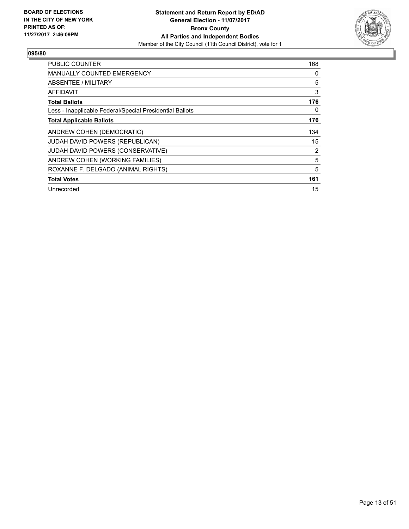

| <b>PUBLIC COUNTER</b>                                    | 168 |
|----------------------------------------------------------|-----|
| <b>MANUALLY COUNTED EMERGENCY</b>                        | 0   |
| ABSENTEE / MILITARY                                      | 5   |
| AFFIDAVIT                                                | 3   |
| <b>Total Ballots</b>                                     | 176 |
| Less - Inapplicable Federal/Special Presidential Ballots | 0   |
| <b>Total Applicable Ballots</b>                          | 176 |
| ANDREW COHEN (DEMOCRATIC)                                | 134 |
| <b>JUDAH DAVID POWERS (REPUBLICAN)</b>                   | 15  |
| JUDAH DAVID POWERS (CONSERVATIVE)                        | 2   |
| ANDREW COHEN (WORKING FAMILIES)                          | 5   |
| ROXANNE F. DELGADO (ANIMAL RIGHTS)                       | 5   |
| <b>Total Votes</b>                                       | 161 |
| Unrecorded                                               | 15  |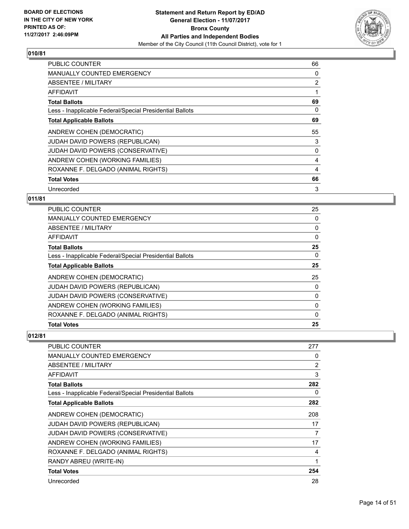

| <b>PUBLIC COUNTER</b>                                    | 66 |
|----------------------------------------------------------|----|
| <b>MANUALLY COUNTED EMERGENCY</b>                        | 0  |
| <b>ABSENTEE / MILITARY</b>                               | 2  |
| AFFIDAVIT                                                | 1  |
| <b>Total Ballots</b>                                     | 69 |
| Less - Inapplicable Federal/Special Presidential Ballots | 0  |
| <b>Total Applicable Ballots</b>                          | 69 |
| ANDREW COHEN (DEMOCRATIC)                                | 55 |
| <b>JUDAH DAVID POWERS (REPUBLICAN)</b>                   | 3  |
| <b>JUDAH DAVID POWERS (CONSERVATIVE)</b>                 | 0  |
| ANDREW COHEN (WORKING FAMILIES)                          | 4  |
| ROXANNE F. DELGADO (ANIMAL RIGHTS)                       | 4  |
| <b>Total Votes</b>                                       | 66 |
| Unrecorded                                               | 3  |

## **011/81**

| <b>Total Votes</b>                                       | 25       |
|----------------------------------------------------------|----------|
| ROXANNE F. DELGADO (ANIMAL RIGHTS)                       | $\Omega$ |
| ANDREW COHEN (WORKING FAMILIES)                          | 0        |
| <b>JUDAH DAVID POWERS (CONSERVATIVE)</b>                 | 0        |
| JUDAH DAVID POWERS (REPUBLICAN)                          | 0        |
| ANDREW COHEN (DEMOCRATIC)                                | 25       |
| <b>Total Applicable Ballots</b>                          | 25       |
| Less - Inapplicable Federal/Special Presidential Ballots | $\Omega$ |
| <b>Total Ballots</b>                                     | 25       |
| <b>AFFIDAVIT</b>                                         | 0        |
| ABSENTEE / MILITARY                                      | 0        |
| <b>MANUALLY COUNTED EMERGENCY</b>                        | $\Omega$ |
| <b>PUBLIC COUNTER</b>                                    | 25       |

| PUBLIC COUNTER                                           | 277 |
|----------------------------------------------------------|-----|
| <b>MANUALLY COUNTED EMERGENCY</b>                        | 0   |
| <b>ABSENTEE / MILITARY</b>                               | 2   |
| AFFIDAVIT                                                | 3   |
| <b>Total Ballots</b>                                     | 282 |
| Less - Inapplicable Federal/Special Presidential Ballots | 0   |
| <b>Total Applicable Ballots</b>                          | 282 |
| ANDREW COHEN (DEMOCRATIC)                                | 208 |
| JUDAH DAVID POWERS (REPUBLICAN)                          | 17  |
| JUDAH DAVID POWERS (CONSERVATIVE)                        | 7   |
| ANDREW COHEN (WORKING FAMILIES)                          | 17  |
| ROXANNE F. DELGADO (ANIMAL RIGHTS)                       | 4   |
| RANDY ABREU (WRITE-IN)                                   | 1   |
| <b>Total Votes</b>                                       | 254 |
| Unrecorded                                               | 28  |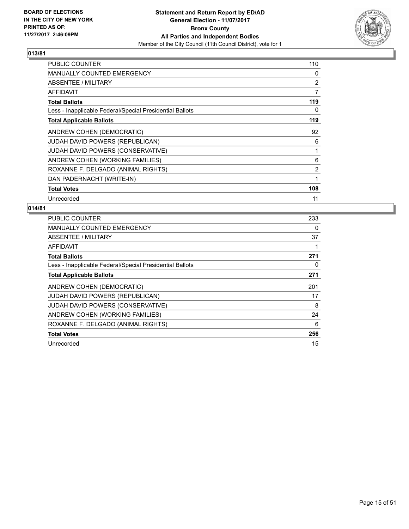

| <b>PUBLIC COUNTER</b>                                    | 110 |
|----------------------------------------------------------|-----|
| MANUALLY COUNTED EMERGENCY                               | 0   |
| ABSENTEE / MILITARY                                      | 2   |
| AFFIDAVIT                                                | 7   |
| <b>Total Ballots</b>                                     | 119 |
| Less - Inapplicable Federal/Special Presidential Ballots | 0   |
| <b>Total Applicable Ballots</b>                          | 119 |
| ANDREW COHEN (DEMOCRATIC)                                | 92  |
| JUDAH DAVID POWERS (REPUBLICAN)                          | 6   |
| JUDAH DAVID POWERS (CONSERVATIVE)                        | 1   |
| ANDREW COHEN (WORKING FAMILIES)                          | 6   |
| ROXANNE F. DELGADO (ANIMAL RIGHTS)                       | 2   |
| DAN PADERNACHT (WRITE-IN)                                | 1   |
| <b>Total Votes</b>                                       | 108 |
| Unrecorded                                               | 11  |

| PUBLIC COUNTER                                           | 233 |
|----------------------------------------------------------|-----|
| <b>MANUALLY COUNTED EMERGENCY</b>                        | 0   |
| <b>ABSENTEE / MILITARY</b>                               | 37  |
| AFFIDAVIT                                                |     |
| <b>Total Ballots</b>                                     | 271 |
| Less - Inapplicable Federal/Special Presidential Ballots | 0   |
| <b>Total Applicable Ballots</b>                          | 271 |
| ANDREW COHEN (DEMOCRATIC)                                | 201 |
|                                                          |     |
| <b>JUDAH DAVID POWERS (REPUBLICAN)</b>                   | 17  |
| <b>JUDAH DAVID POWERS (CONSERVATIVE)</b>                 | 8   |
| ANDREW COHEN (WORKING FAMILIES)                          | 24  |
| ROXANNE F. DELGADO (ANIMAL RIGHTS)                       | 6   |
| <b>Total Votes</b>                                       | 256 |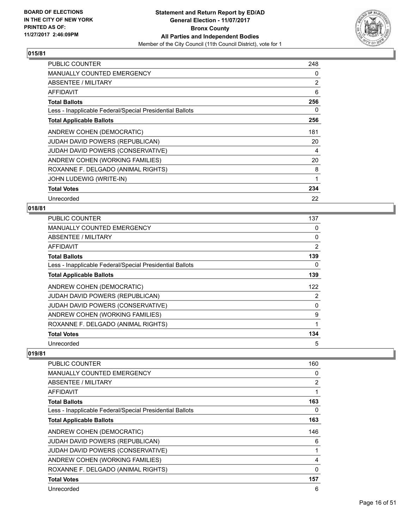

| <b>PUBLIC COUNTER</b>                                    | 248 |
|----------------------------------------------------------|-----|
| <b>MANUALLY COUNTED EMERGENCY</b>                        | 0   |
| <b>ABSENTEE / MILITARY</b>                               | 2   |
| AFFIDAVIT                                                | 6   |
| <b>Total Ballots</b>                                     | 256 |
| Less - Inapplicable Federal/Special Presidential Ballots | 0   |
| <b>Total Applicable Ballots</b>                          | 256 |
| ANDREW COHEN (DEMOCRATIC)                                | 181 |
| <b>JUDAH DAVID POWERS (REPUBLICAN)</b>                   | 20  |
| JUDAH DAVID POWERS (CONSERVATIVE)                        | 4   |
| ANDREW COHEN (WORKING FAMILIES)                          | 20  |
| ROXANNE F. DELGADO (ANIMAL RIGHTS)                       | 8   |
| <b>JOHN LUDEWIG (WRITE-IN)</b>                           | 1   |
| <b>Total Votes</b>                                       | 234 |
| Unrecorded                                               | 22  |

# **018/81**

| <b>PUBLIC COUNTER</b>                                    | 137 |
|----------------------------------------------------------|-----|
| MANUALLY COUNTED EMERGENCY                               | 0   |
| ABSENTEE / MILITARY                                      | 0   |
| AFFIDAVIT                                                | 2   |
| <b>Total Ballots</b>                                     | 139 |
| Less - Inapplicable Federal/Special Presidential Ballots | 0   |
| <b>Total Applicable Ballots</b>                          | 139 |
| ANDREW COHEN (DEMOCRATIC)                                | 122 |
| JUDAH DAVID POWERS (REPUBLICAN)                          | 2   |
| <b>JUDAH DAVID POWERS (CONSERVATIVE)</b>                 | 0   |
| ANDREW COHEN (WORKING FAMILIES)                          | 9   |
| ROXANNE F. DELGADO (ANIMAL RIGHTS)                       | 1   |
| <b>Total Votes</b>                                       | 134 |
| Unrecorded                                               | 5   |

| <b>PUBLIC COUNTER</b>                                    | 160 |
|----------------------------------------------------------|-----|
| <b>MANUALLY COUNTED EMERGENCY</b>                        | 0   |
| ABSENTEE / MILITARY                                      | 2   |
| AFFIDAVIT                                                | 1   |
| <b>Total Ballots</b>                                     | 163 |
| Less - Inapplicable Federal/Special Presidential Ballots | 0   |
| <b>Total Applicable Ballots</b>                          | 163 |
| ANDREW COHEN (DEMOCRATIC)                                | 146 |
| <b>JUDAH DAVID POWERS (REPUBLICAN)</b>                   | 6   |
| JUDAH DAVID POWERS (CONSERVATIVE)                        | 1   |
| ANDREW COHEN (WORKING FAMILIES)                          | 4   |
| ROXANNE F. DELGADO (ANIMAL RIGHTS)                       | 0   |
| <b>Total Votes</b>                                       | 157 |
| Unrecorded                                               | 6   |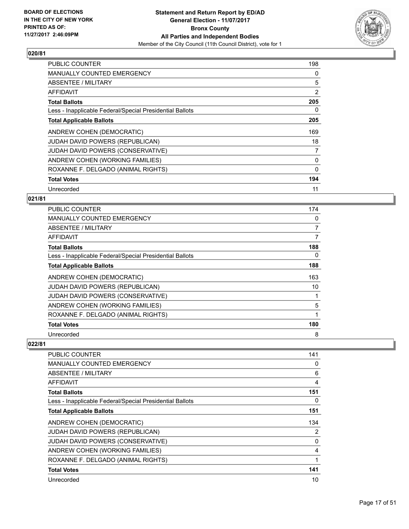

| <b>PUBLIC COUNTER</b>                                    | 198 |
|----------------------------------------------------------|-----|
| <b>MANUALLY COUNTED EMERGENCY</b>                        | 0   |
| <b>ABSENTEE / MILITARY</b>                               | 5   |
| AFFIDAVIT                                                | 2   |
| <b>Total Ballots</b>                                     | 205 |
| Less - Inapplicable Federal/Special Presidential Ballots | 0   |
| <b>Total Applicable Ballots</b>                          | 205 |
| ANDREW COHEN (DEMOCRATIC)                                | 169 |
| JUDAH DAVID POWERS (REPUBLICAN)                          | 18  |
| <b>JUDAH DAVID POWERS (CONSERVATIVE)</b>                 | 7   |
| ANDREW COHEN (WORKING FAMILIES)                          | 0   |
| ROXANNE F. DELGADO (ANIMAL RIGHTS)                       | 0   |
| <b>Total Votes</b>                                       | 194 |
| Unrecorded                                               | 11  |

## **021/81**

| PUBLIC COUNTER                                           | 174            |
|----------------------------------------------------------|----------------|
| <b>MANUALLY COUNTED EMERGENCY</b>                        | 0              |
| ABSENTEE / MILITARY                                      | $\overline{7}$ |
| AFFIDAVIT                                                | 7              |
| <b>Total Ballots</b>                                     | 188            |
| Less - Inapplicable Federal/Special Presidential Ballots | 0              |
| <b>Total Applicable Ballots</b>                          | 188            |
| ANDREW COHEN (DEMOCRATIC)                                | 163            |
| <b>JUDAH DAVID POWERS (REPUBLICAN)</b>                   | 10             |
| JUDAH DAVID POWERS (CONSERVATIVE)                        |                |
| ANDREW COHEN (WORKING FAMILIES)                          | 5              |
| ROXANNE F. DELGADO (ANIMAL RIGHTS)                       | 1              |
| <b>Total Votes</b>                                       | 180            |
| Unrecorded                                               | 8              |

| <b>PUBLIC COUNTER</b>                                    | 141 |
|----------------------------------------------------------|-----|
|                                                          |     |
| <b>MANUALLY COUNTED EMERGENCY</b>                        | 0   |
| ABSENTEE / MILITARY                                      | 6   |
| <b>AFFIDAVIT</b>                                         | 4   |
| <b>Total Ballots</b>                                     | 151 |
| Less - Inapplicable Federal/Special Presidential Ballots | 0   |
| <b>Total Applicable Ballots</b>                          | 151 |
| ANDREW COHEN (DEMOCRATIC)                                | 134 |
| <b>JUDAH DAVID POWERS (REPUBLICAN)</b>                   | 2   |
| JUDAH DAVID POWERS (CONSERVATIVE)                        | 0   |
| ANDREW COHEN (WORKING FAMILIES)                          | 4   |
| ROXANNE F. DELGADO (ANIMAL RIGHTS)                       | 1   |
| <b>Total Votes</b>                                       | 141 |
| Unrecorded                                               | 10  |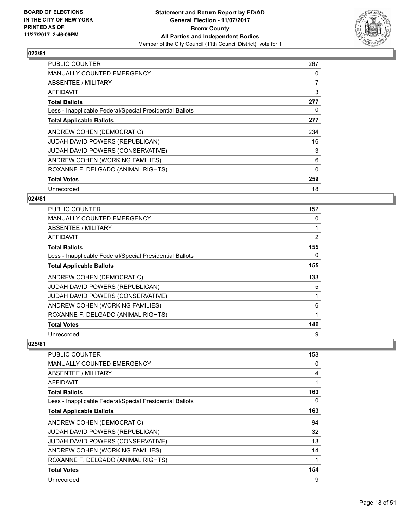

| <b>PUBLIC COUNTER</b>                                    | 267 |
|----------------------------------------------------------|-----|
| <b>MANUALLY COUNTED EMERGENCY</b>                        | 0   |
| <b>ABSENTEE / MILITARY</b>                               | 7   |
| <b>AFFIDAVIT</b>                                         | 3   |
| <b>Total Ballots</b>                                     | 277 |
| Less - Inapplicable Federal/Special Presidential Ballots | 0   |
| <b>Total Applicable Ballots</b>                          | 277 |
| ANDREW COHEN (DEMOCRATIC)                                | 234 |
| <b>JUDAH DAVID POWERS (REPUBLICAN)</b>                   | 16  |
| JUDAH DAVID POWERS (CONSERVATIVE)                        | 3   |
| ANDREW COHEN (WORKING FAMILIES)                          | 6   |
| ROXANNE F. DELGADO (ANIMAL RIGHTS)                       | 0   |
| <b>Total Votes</b>                                       | 259 |
| Unrecorded                                               | 18  |

## **024/81**

| PUBLIC COUNTER                                           | 152 |
|----------------------------------------------------------|-----|
| <b>MANUALLY COUNTED EMERGENCY</b>                        | 0   |
| ABSENTEE / MILITARY                                      |     |
| <b>AFFIDAVIT</b>                                         | 2   |
| <b>Total Ballots</b>                                     | 155 |
| Less - Inapplicable Federal/Special Presidential Ballots | 0   |
| <b>Total Applicable Ballots</b>                          | 155 |
| ANDREW COHEN (DEMOCRATIC)                                | 133 |
| JUDAH DAVID POWERS (REPUBLICAN)                          | 5   |
| JUDAH DAVID POWERS (CONSERVATIVE)                        |     |
| ANDREW COHEN (WORKING FAMILIES)                          | 6   |
| ROXANNE F. DELGADO (ANIMAL RIGHTS)                       |     |
| <b>Total Votes</b>                                       | 146 |
| Unrecorded                                               | 9   |

| <b>PUBLIC COUNTER</b>                                    | 158 |
|----------------------------------------------------------|-----|
| <b>MANUALLY COUNTED EMERGENCY</b>                        | 0   |
| ABSENTEE / MILITARY                                      | 4   |
| <b>AFFIDAVIT</b>                                         |     |
| <b>Total Ballots</b>                                     | 163 |
| Less - Inapplicable Federal/Special Presidential Ballots | 0   |
| <b>Total Applicable Ballots</b>                          | 163 |
| ANDREW COHEN (DEMOCRATIC)                                | 94  |
| <b>JUDAH DAVID POWERS (REPUBLICAN)</b>                   | 32  |
| JUDAH DAVID POWERS (CONSERVATIVE)                        | 13  |
| ANDREW COHEN (WORKING FAMILIES)                          | 14  |
| ROXANNE F. DELGADO (ANIMAL RIGHTS)                       |     |
| <b>Total Votes</b>                                       | 154 |
| Unrecorded                                               | 9   |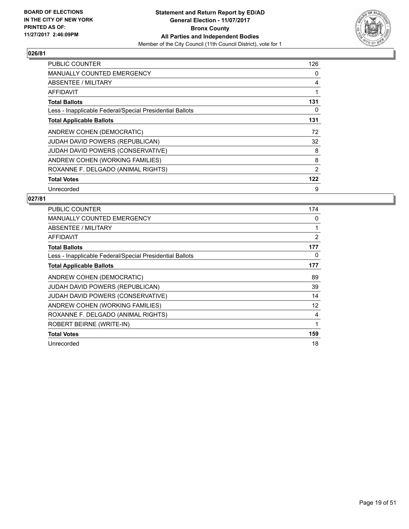

| PUBLIC COUNTER                                           | 126 |
|----------------------------------------------------------|-----|
| <b>MANUALLY COUNTED EMERGENCY</b>                        | 0   |
| <b>ABSENTEE / MILITARY</b>                               | 4   |
| AFFIDAVIT                                                | 1   |
| <b>Total Ballots</b>                                     | 131 |
| Less - Inapplicable Federal/Special Presidential Ballots | 0   |
| <b>Total Applicable Ballots</b>                          | 131 |
| ANDREW COHEN (DEMOCRATIC)                                | 72  |
| JUDAH DAVID POWERS (REPUBLICAN)                          | 32  |
| <b>JUDAH DAVID POWERS (CONSERVATIVE)</b>                 | 8   |
| ANDREW COHEN (WORKING FAMILIES)                          | 8   |
| ROXANNE F. DELGADO (ANIMAL RIGHTS)                       | 2   |
| <b>Total Votes</b>                                       | 122 |
| Unrecorded                                               | 9   |

| <b>PUBLIC COUNTER</b>                                    | 174            |
|----------------------------------------------------------|----------------|
| <b>MANUALLY COUNTED EMERGENCY</b>                        | 0              |
| <b>ABSENTEE / MILITARY</b>                               |                |
| <b>AFFIDAVIT</b>                                         | $\overline{2}$ |
| <b>Total Ballots</b>                                     | 177            |
| Less - Inapplicable Federal/Special Presidential Ballots | 0              |
| <b>Total Applicable Ballots</b>                          | 177            |
| ANDREW COHEN (DEMOCRATIC)                                | 89             |
| <b>JUDAH DAVID POWERS (REPUBLICAN)</b>                   | 39             |
| JUDAH DAVID POWERS (CONSERVATIVE)                        | 14             |
| ANDREW COHEN (WORKING FAMILIES)                          | 12             |
| ROXANNE F. DELGADO (ANIMAL RIGHTS)                       | 4              |
| ROBERT BEIRNE (WRITE-IN)                                 | 1              |
| <b>Total Votes</b>                                       | 159            |
| Unrecorded                                               | 18             |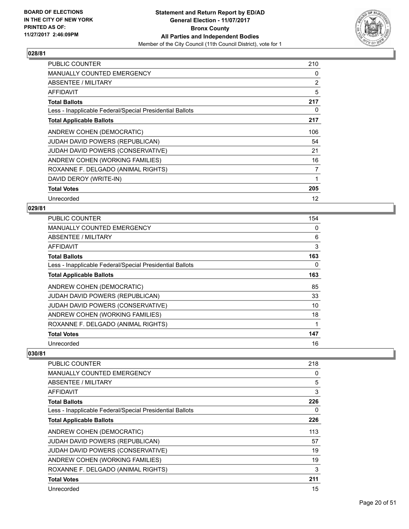

| <b>PUBLIC COUNTER</b>                                    | 210            |
|----------------------------------------------------------|----------------|
| <b>MANUALLY COUNTED EMERGENCY</b>                        | 0              |
| ABSENTEE / MILITARY                                      | $\overline{2}$ |
| AFFIDAVIT                                                | 5              |
| <b>Total Ballots</b>                                     | 217            |
| Less - Inapplicable Federal/Special Presidential Ballots | 0              |
| <b>Total Applicable Ballots</b>                          | 217            |
| ANDREW COHEN (DEMOCRATIC)                                | 106            |
| <b>JUDAH DAVID POWERS (REPUBLICAN)</b>                   | 54             |
| JUDAH DAVID POWERS (CONSERVATIVE)                        | 21             |
| ANDREW COHEN (WORKING FAMILIES)                          | 16             |
| ROXANNE F. DELGADO (ANIMAL RIGHTS)                       | 7              |
| DAVID DEROY (WRITE-IN)                                   | 1              |
| <b>Total Votes</b>                                       | 205            |
| Unrecorded                                               | 12             |

#### **029/81**

| <b>PUBLIC COUNTER</b>                                    | 154 |
|----------------------------------------------------------|-----|
| <b>MANUALLY COUNTED EMERGENCY</b>                        | 0   |
| ABSENTEE / MILITARY                                      | 6   |
| AFFIDAVIT                                                | 3   |
| <b>Total Ballots</b>                                     | 163 |
| Less - Inapplicable Federal/Special Presidential Ballots | 0   |
| <b>Total Applicable Ballots</b>                          | 163 |
| ANDREW COHEN (DEMOCRATIC)                                | 85  |
| JUDAH DAVID POWERS (REPUBLICAN)                          | 33  |
| <b>JUDAH DAVID POWERS (CONSERVATIVE)</b>                 | 10  |
| ANDREW COHEN (WORKING FAMILIES)                          | 18  |
| ROXANNE F. DELGADO (ANIMAL RIGHTS)                       |     |
| <b>Total Votes</b>                                       | 147 |
| Unrecorded                                               | 16  |

| <b>PUBLIC COUNTER</b>                                    | 218 |
|----------------------------------------------------------|-----|
| <b>MANUALLY COUNTED EMERGENCY</b>                        | 0   |
| ABSENTEE / MILITARY                                      | 5   |
| <b>AFFIDAVIT</b>                                         | 3   |
| <b>Total Ballots</b>                                     | 226 |
| Less - Inapplicable Federal/Special Presidential Ballots | 0   |
| <b>Total Applicable Ballots</b>                          | 226 |
| ANDREW COHEN (DEMOCRATIC)                                | 113 |
| <b>JUDAH DAVID POWERS (REPUBLICAN)</b>                   | 57  |
| JUDAH DAVID POWERS (CONSERVATIVE)                        | 19  |
| ANDREW COHEN (WORKING FAMILIES)                          | 19  |
| ROXANNE F. DELGADO (ANIMAL RIGHTS)                       | 3   |
| <b>Total Votes</b>                                       | 211 |
| Unrecorded                                               | 15  |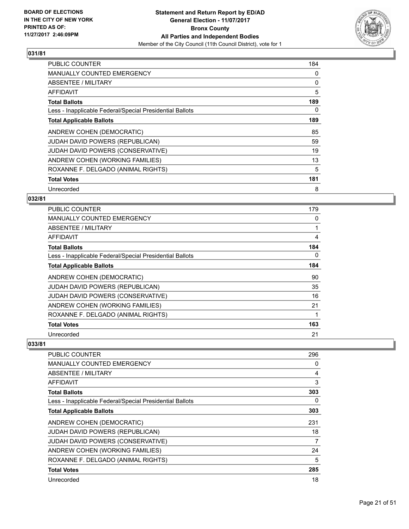

| <b>PUBLIC COUNTER</b>                                    | 184 |
|----------------------------------------------------------|-----|
| <b>MANUALLY COUNTED EMERGENCY</b>                        | 0   |
| ABSENTEE / MILITARY                                      | 0   |
| AFFIDAVIT                                                | 5   |
| <b>Total Ballots</b>                                     | 189 |
| Less - Inapplicable Federal/Special Presidential Ballots | 0   |
| <b>Total Applicable Ballots</b>                          | 189 |
| ANDREW COHEN (DEMOCRATIC)                                | 85  |
| <b>JUDAH DAVID POWERS (REPUBLICAN)</b>                   | 59  |
| JUDAH DAVID POWERS (CONSERVATIVE)                        | 19  |
| ANDREW COHEN (WORKING FAMILIES)                          | 13  |
| ROXANNE F. DELGADO (ANIMAL RIGHTS)                       | 5   |
| <b>Total Votes</b>                                       | 181 |
| Unrecorded                                               | 8   |

## **032/81**

| PUBLIC COUNTER                                           | 179 |
|----------------------------------------------------------|-----|
| <b>MANUALLY COUNTED EMERGENCY</b>                        | 0   |
| ABSENTEE / MILITARY                                      |     |
| AFFIDAVIT                                                | 4   |
| <b>Total Ballots</b>                                     | 184 |
| Less - Inapplicable Federal/Special Presidential Ballots | 0   |
| <b>Total Applicable Ballots</b>                          | 184 |
| ANDREW COHEN (DEMOCRATIC)                                | 90  |
| JUDAH DAVID POWERS (REPUBLICAN)                          | 35  |
| JUDAH DAVID POWERS (CONSERVATIVE)                        | 16  |
| ANDREW COHEN (WORKING FAMILIES)                          | 21  |
| ROXANNE F. DELGADO (ANIMAL RIGHTS)                       |     |
| <b>Total Votes</b>                                       | 163 |
| Unrecorded                                               | 21  |

| <b>PUBLIC COUNTER</b>                                    | 296 |
|----------------------------------------------------------|-----|
| <b>MANUALLY COUNTED EMERGENCY</b>                        | 0   |
| ABSENTEE / MILITARY                                      | 4   |
| AFFIDAVIT                                                | 3   |
| <b>Total Ballots</b>                                     | 303 |
| Less - Inapplicable Federal/Special Presidential Ballots | 0   |
| <b>Total Applicable Ballots</b>                          | 303 |
| ANDREW COHEN (DEMOCRATIC)                                | 231 |
| <b>JUDAH DAVID POWERS (REPUBLICAN)</b>                   | 18  |
| JUDAH DAVID POWERS (CONSERVATIVE)                        | 7   |
| ANDREW COHEN (WORKING FAMILIES)                          | 24  |
| ROXANNE F. DELGADO (ANIMAL RIGHTS)                       | 5   |
| <b>Total Votes</b>                                       | 285 |
| Unrecorded                                               | 18  |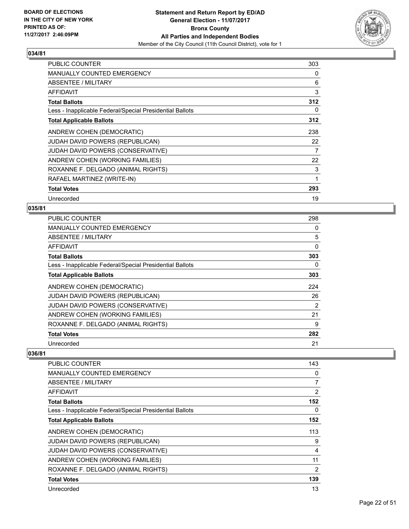

| PUBLIC COUNTER                                           | 303 |
|----------------------------------------------------------|-----|
| <b>MANUALLY COUNTED EMERGENCY</b>                        | 0   |
| ABSENTEE / MILITARY                                      | 6   |
| <b>AFFIDAVIT</b>                                         | 3   |
| <b>Total Ballots</b>                                     | 312 |
| Less - Inapplicable Federal/Special Presidential Ballots | 0   |
| <b>Total Applicable Ballots</b>                          | 312 |
| ANDREW COHEN (DEMOCRATIC)                                | 238 |
| <b>JUDAH DAVID POWERS (REPUBLICAN)</b>                   | 22  |
| JUDAH DAVID POWERS (CONSERVATIVE)                        | 7   |
| ANDREW COHEN (WORKING FAMILIES)                          | 22  |
| ROXANNE F. DELGADO (ANIMAL RIGHTS)                       | 3   |
| RAFAEL MARTINEZ (WRITE-IN)                               | 1   |
| <b>Total Votes</b>                                       | 293 |
| Unrecorded                                               | 19  |

## **035/81**

| <b>PUBLIC COUNTER</b>                                    | 298 |
|----------------------------------------------------------|-----|
| <b>MANUALLY COUNTED EMERGENCY</b>                        | 0   |
| ABSENTEE / MILITARY                                      | 5   |
| AFFIDAVIT                                                | 0   |
| <b>Total Ballots</b>                                     | 303 |
| Less - Inapplicable Federal/Special Presidential Ballots | 0   |
| <b>Total Applicable Ballots</b>                          | 303 |
| ANDREW COHEN (DEMOCRATIC)                                | 224 |
| <b>JUDAH DAVID POWERS (REPUBLICAN)</b>                   | 26  |
| <b>JUDAH DAVID POWERS (CONSERVATIVE)</b>                 | 2   |
| ANDREW COHEN (WORKING FAMILIES)                          | 21  |
| ROXANNE F. DELGADO (ANIMAL RIGHTS)                       | 9   |
| <b>Total Votes</b>                                       | 282 |
| Unrecorded                                               | 21  |

| <b>PUBLIC COUNTER</b>                                    | 143            |
|----------------------------------------------------------|----------------|
| <b>MANUALLY COUNTED EMERGENCY</b>                        | 0              |
| ABSENTEE / MILITARY                                      | 7              |
| <b>AFFIDAVIT</b>                                         | $\overline{2}$ |
| <b>Total Ballots</b>                                     | 152            |
| Less - Inapplicable Federal/Special Presidential Ballots | 0              |
| <b>Total Applicable Ballots</b>                          | 152            |
| ANDREW COHEN (DEMOCRATIC)                                | 113            |
| <b>JUDAH DAVID POWERS (REPUBLICAN)</b>                   | 9              |
| JUDAH DAVID POWERS (CONSERVATIVE)                        | 4              |
| ANDREW COHEN (WORKING FAMILIES)                          | 11             |
| ROXANNE F. DELGADO (ANIMAL RIGHTS)                       | $\overline{2}$ |
| <b>Total Votes</b>                                       | 139            |
| Unrecorded                                               | 13             |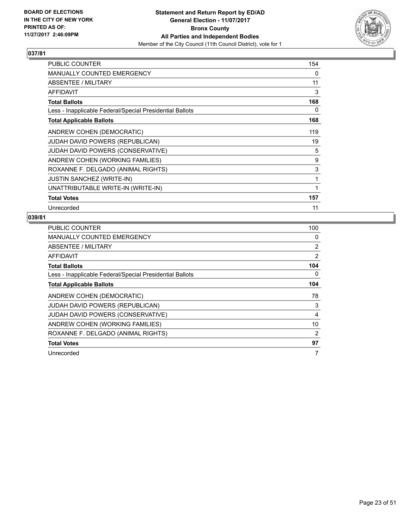

| PUBLIC COUNTER                                           | 154 |
|----------------------------------------------------------|-----|
| <b>MANUALLY COUNTED EMERGENCY</b>                        | 0   |
| ABSENTEE / MILITARY                                      | 11  |
| AFFIDAVIT                                                | 3   |
| <b>Total Ballots</b>                                     | 168 |
| Less - Inapplicable Federal/Special Presidential Ballots | 0   |
| <b>Total Applicable Ballots</b>                          | 168 |
| ANDREW COHEN (DEMOCRATIC)                                | 119 |
| <b>JUDAH DAVID POWERS (REPUBLICAN)</b>                   | 19  |
| <b>JUDAH DAVID POWERS (CONSERVATIVE)</b>                 | 5   |
| ANDREW COHEN (WORKING FAMILIES)                          | 9   |
| ROXANNE F. DELGADO (ANIMAL RIGHTS)                       | 3   |
| <b>JUSTIN SANCHEZ (WRITE-IN)</b>                         | 1   |
| UNATTRIBUTABLE WRITE-IN (WRITE-IN)                       | 1   |
| <b>Total Votes</b>                                       | 157 |
| Unrecorded                                               | 11  |

| <b>PUBLIC COUNTER</b>                                    | 100            |
|----------------------------------------------------------|----------------|
| <b>MANUALLY COUNTED EMERGENCY</b>                        | 0              |
| ABSENTEE / MILITARY                                      | 2              |
| AFFIDAVIT                                                | 2              |
| <b>Total Ballots</b>                                     | 104            |
| Less - Inapplicable Federal/Special Presidential Ballots | 0              |
| <b>Total Applicable Ballots</b>                          | 104            |
| ANDREW COHEN (DEMOCRATIC)                                | 78             |
| JUDAH DAVID POWERS (REPUBLICAN)                          | 3              |
| JUDAH DAVID POWERS (CONSERVATIVE)                        | 4              |
| ANDREW COHEN (WORKING FAMILIES)                          | 10             |
| ROXANNE F. DELGADO (ANIMAL RIGHTS)                       | $\overline{2}$ |
| <b>Total Votes</b>                                       | 97             |
| Unrecorded                                               | 7              |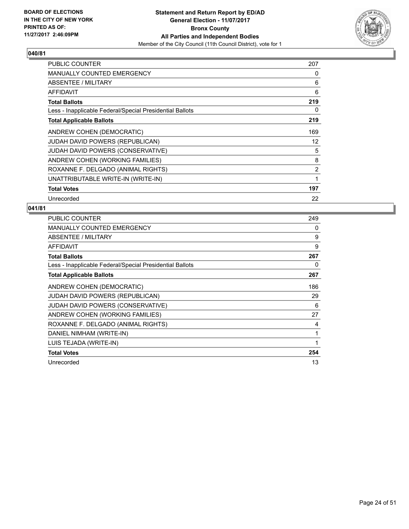

| <b>PUBLIC COUNTER</b>                                    | 207 |
|----------------------------------------------------------|-----|
| <b>MANUALLY COUNTED EMERGENCY</b>                        | 0   |
| ABSENTEE / MILITARY                                      | 6   |
| AFFIDAVIT                                                | 6   |
| <b>Total Ballots</b>                                     | 219 |
| Less - Inapplicable Federal/Special Presidential Ballots | 0   |
| <b>Total Applicable Ballots</b>                          | 219 |
| ANDREW COHEN (DEMOCRATIC)                                | 169 |
| <b>JUDAH DAVID POWERS (REPUBLICAN)</b>                   | 12  |
| JUDAH DAVID POWERS (CONSERVATIVE)                        | 5   |
| ANDREW COHEN (WORKING FAMILIES)                          | 8   |
| ROXANNE F. DELGADO (ANIMAL RIGHTS)                       | 2   |
| UNATTRIBUTABLE WRITE-IN (WRITE-IN)                       | 1   |
| <b>Total Votes</b>                                       | 197 |
| Unrecorded                                               | 22  |

| <b>PUBLIC COUNTER</b>                                    | 249 |
|----------------------------------------------------------|-----|
| MANUALLY COUNTED EMERGENCY                               | 0   |
| ABSENTEE / MILITARY                                      | 9   |
| AFFIDAVIT                                                | 9   |
| <b>Total Ballots</b>                                     | 267 |
| Less - Inapplicable Federal/Special Presidential Ballots | 0   |
| <b>Total Applicable Ballots</b>                          | 267 |
| ANDREW COHEN (DEMOCRATIC)                                | 186 |
| JUDAH DAVID POWERS (REPUBLICAN)                          | 29  |
| JUDAH DAVID POWERS (CONSERVATIVE)                        | 6   |
| ANDREW COHEN (WORKING FAMILIES)                          | 27  |
| ROXANNE F. DELGADO (ANIMAL RIGHTS)                       | 4   |
| DANIEL NIMHAM (WRITE-IN)                                 | 1   |
| LUIS TEJADA (WRITE-IN)                                   | 1   |
| <b>Total Votes</b>                                       | 254 |
| Unrecorded                                               | 13  |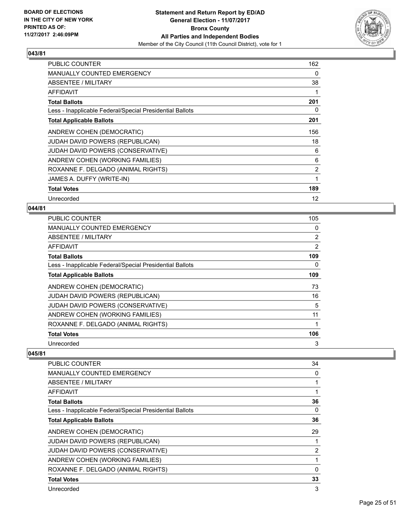

| <b>PUBLIC COUNTER</b>                                    | 162            |
|----------------------------------------------------------|----------------|
| <b>MANUALLY COUNTED EMERGENCY</b>                        | 0              |
| ABSENTEE / MILITARY                                      | 38             |
| AFFIDAVIT                                                |                |
| <b>Total Ballots</b>                                     | 201            |
| Less - Inapplicable Federal/Special Presidential Ballots | 0              |
| <b>Total Applicable Ballots</b>                          | 201            |
| ANDREW COHEN (DEMOCRATIC)                                | 156            |
| <b>JUDAH DAVID POWERS (REPUBLICAN)</b>                   | 18             |
| JUDAH DAVID POWERS (CONSERVATIVE)                        | 6              |
| ANDREW COHEN (WORKING FAMILIES)                          | 6              |
| ROXANNE F. DELGADO (ANIMAL RIGHTS)                       | $\overline{2}$ |
| JAMES A. DUFFY (WRITE-IN)                                | 1              |
| <b>Total Votes</b>                                       | 189            |
| Unrecorded                                               | 12             |

# **044/81**

| <b>PUBLIC COUNTER</b>                                    | 105            |
|----------------------------------------------------------|----------------|
| <b>MANUALLY COUNTED EMERGENCY</b>                        | 0              |
| ABSENTEE / MILITARY                                      | $\overline{2}$ |
| AFFIDAVIT                                                | 2              |
| <b>Total Ballots</b>                                     | 109            |
| Less - Inapplicable Federal/Special Presidential Ballots | 0              |
| <b>Total Applicable Ballots</b>                          | 109            |
| ANDREW COHEN (DEMOCRATIC)                                | 73             |
| <b>JUDAH DAVID POWERS (REPUBLICAN)</b>                   | 16             |
| <b>JUDAH DAVID POWERS (CONSERVATIVE)</b>                 | 5              |
| ANDREW COHEN (WORKING FAMILIES)                          | 11             |
| ROXANNE F. DELGADO (ANIMAL RIGHTS)                       |                |
| <b>Total Votes</b>                                       | 106            |
| Unrecorded                                               | 3              |

| PUBLIC COUNTER                                           | 34 |
|----------------------------------------------------------|----|
| <b>MANUALLY COUNTED EMERGENCY</b>                        | 0  |
| ABSENTEE / MILITARY                                      |    |
| AFFIDAVIT                                                | 1  |
| <b>Total Ballots</b>                                     | 36 |
| Less - Inapplicable Federal/Special Presidential Ballots | 0  |
| <b>Total Applicable Ballots</b>                          | 36 |
| ANDREW COHEN (DEMOCRATIC)                                | 29 |
| <b>JUDAH DAVID POWERS (REPUBLICAN)</b>                   |    |
| JUDAH DAVID POWERS (CONSERVATIVE)                        | 2  |
| ANDREW COHEN (WORKING FAMILIES)                          |    |
| ROXANNE F. DELGADO (ANIMAL RIGHTS)                       | 0  |
| <b>Total Votes</b>                                       | 33 |
| Unrecorded                                               | 3  |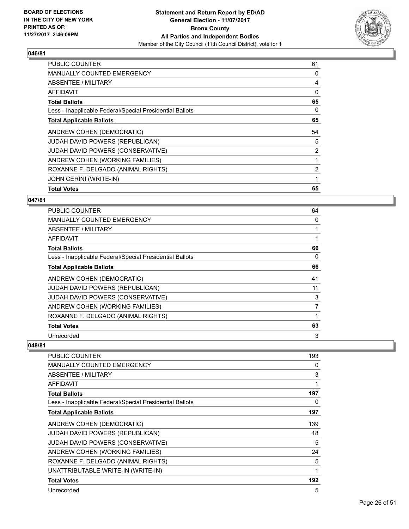

| <b>PUBLIC COUNTER</b>                                    | 61 |
|----------------------------------------------------------|----|
| <b>MANUALLY COUNTED EMERGENCY</b>                        | 0  |
| <b>ABSENTEE / MILITARY</b>                               | 4  |
| AFFIDAVIT                                                | 0  |
| <b>Total Ballots</b>                                     | 65 |
| Less - Inapplicable Federal/Special Presidential Ballots | 0  |
| <b>Total Applicable Ballots</b>                          | 65 |
| ANDREW COHEN (DEMOCRATIC)                                | 54 |
| <b>JUDAH DAVID POWERS (REPUBLICAN)</b>                   | 5  |
| <b>JUDAH DAVID POWERS (CONSERVATIVE)</b>                 | 2  |
|                                                          |    |
| ANDREW COHEN (WORKING FAMILIES)                          | 1  |
| ROXANNE F. DELGADO (ANIMAL RIGHTS)                       | 2  |
| JOHN CERINI (WRITE-IN)                                   | 1  |

#### **047/81**

| <b>PUBLIC COUNTER</b>                                    | 64             |
|----------------------------------------------------------|----------------|
| <b>MANUALLY COUNTED EMERGENCY</b>                        | 0              |
| ABSENTEE / MILITARY                                      |                |
| <b>AFFIDAVIT</b>                                         |                |
| <b>Total Ballots</b>                                     | 66             |
| Less - Inapplicable Federal/Special Presidential Ballots | 0              |
| <b>Total Applicable Ballots</b>                          | 66             |
| ANDREW COHEN (DEMOCRATIC)                                | 41             |
| JUDAH DAVID POWERS (REPUBLICAN)                          | 11             |
| JUDAH DAVID POWERS (CONSERVATIVE)                        | 3              |
| ANDREW COHEN (WORKING FAMILIES)                          | $\overline{7}$ |
| ROXANNE F. DELGADO (ANIMAL RIGHTS)                       |                |
| <b>Total Votes</b>                                       | 63             |
| Unrecorded                                               | 3              |

| PUBLIC COUNTER                                           | 193 |
|----------------------------------------------------------|-----|
| <b>MANUALLY COUNTED EMERGENCY</b>                        | 0   |
| <b>ABSENTEE / MILITARY</b>                               | 3   |
| AFFIDAVIT                                                | 1   |
| <b>Total Ballots</b>                                     | 197 |
| Less - Inapplicable Federal/Special Presidential Ballots | 0   |
| <b>Total Applicable Ballots</b>                          | 197 |
| ANDREW COHEN (DEMOCRATIC)                                | 139 |
| JUDAH DAVID POWERS (REPUBLICAN)                          | 18  |
| <b>JUDAH DAVID POWERS (CONSERVATIVE)</b>                 | 5   |
| ANDREW COHEN (WORKING FAMILIES)                          | 24  |
| ROXANNE F. DELGADO (ANIMAL RIGHTS)                       | 5   |
| UNATTRIBUTABLE WRITE-IN (WRITE-IN)                       | 1   |
| <b>Total Votes</b>                                       | 192 |
| Unrecorded                                               | 5   |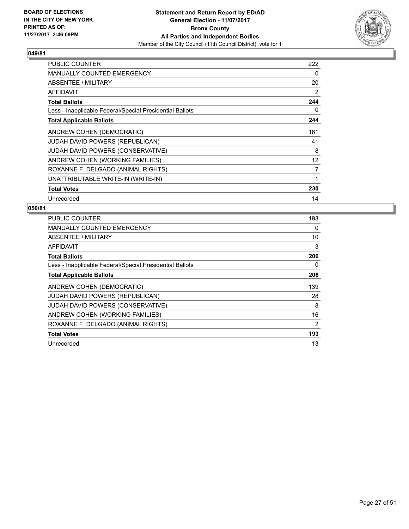

| <b>PUBLIC COUNTER</b>                                    | 222 |
|----------------------------------------------------------|-----|
| <b>MANUALLY COUNTED EMERGENCY</b>                        | 0   |
| ABSENTEE / MILITARY                                      | 20  |
| AFFIDAVIT                                                | 2   |
| <b>Total Ballots</b>                                     | 244 |
| Less - Inapplicable Federal/Special Presidential Ballots | 0   |
| <b>Total Applicable Ballots</b>                          | 244 |
| ANDREW COHEN (DEMOCRATIC)                                | 161 |
| JUDAH DAVID POWERS (REPUBLICAN)                          | 41  |
| JUDAH DAVID POWERS (CONSERVATIVE)                        | 8   |
| ANDREW COHEN (WORKING FAMILIES)                          | 12  |
| ROXANNE F. DELGADO (ANIMAL RIGHTS)                       | 7   |
| UNATTRIBUTABLE WRITE-IN (WRITE-IN)                       | 1   |
| <b>Total Votes</b>                                       | 230 |
| Unrecorded                                               | 14  |

| <b>PUBLIC COUNTER</b>                                    | 193 |
|----------------------------------------------------------|-----|
| <b>MANUALLY COUNTED EMERGENCY</b>                        | 0   |
| ABSENTEE / MILITARY                                      | 10  |
| AFFIDAVIT                                                | 3   |
| <b>Total Ballots</b>                                     | 206 |
| Less - Inapplicable Federal/Special Presidential Ballots | 0   |
| Total Applicable Ballots                                 | 206 |
| ANDREW COHEN (DEMOCRATIC)                                | 139 |
| <b>JUDAH DAVID POWERS (REPUBLICAN)</b>                   | 28  |
| JUDAH DAVID POWERS (CONSERVATIVE)                        | 8   |
| ANDREW COHEN (WORKING FAMILIES)                          | 16  |
| ROXANNE F. DELGADO (ANIMAL RIGHTS)                       | 2   |
| <b>Total Votes</b>                                       | 193 |
| Unrecorded                                               | 13  |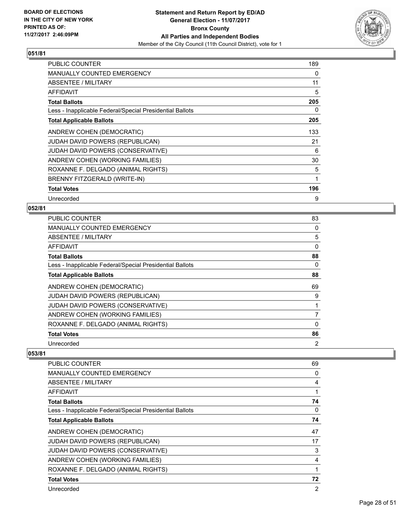

| <b>PUBLIC COUNTER</b>                                    | 189 |
|----------------------------------------------------------|-----|
| <b>MANUALLY COUNTED EMERGENCY</b>                        | 0   |
| <b>ABSENTEE / MILITARY</b>                               | 11  |
| <b>AFFIDAVIT</b>                                         | 5   |
| <b>Total Ballots</b>                                     | 205 |
| Less - Inapplicable Federal/Special Presidential Ballots | 0   |
| <b>Total Applicable Ballots</b>                          | 205 |
| ANDREW COHEN (DEMOCRATIC)                                | 133 |
| JUDAH DAVID POWERS (REPUBLICAN)                          | 21  |
| JUDAH DAVID POWERS (CONSERVATIVE)                        | 6   |
| ANDREW COHEN (WORKING FAMILIES)                          | 30  |
| ROXANNE F. DELGADO (ANIMAL RIGHTS)                       | 5   |
| BRENNY FITZGERALD (WRITE-IN)                             | 1   |
| <b>Total Votes</b>                                       | 196 |
| Unrecorded                                               | 9   |

#### **052/81**

| <b>PUBLIC COUNTER</b>                                    | 83             |
|----------------------------------------------------------|----------------|
| <b>MANUALLY COUNTED EMERGENCY</b>                        | 0              |
| ABSENTEE / MILITARY                                      | 5              |
| AFFIDAVIT                                                | 0              |
| <b>Total Ballots</b>                                     | 88             |
| Less - Inapplicable Federal/Special Presidential Ballots | 0              |
| <b>Total Applicable Ballots</b>                          | 88             |
| ANDREW COHEN (DEMOCRATIC)                                | 69             |
| <b>JUDAH DAVID POWERS (REPUBLICAN)</b>                   | 9              |
| <b>JUDAH DAVID POWERS (CONSERVATIVE)</b>                 |                |
| ANDREW COHEN (WORKING FAMILIES)                          | $\overline{7}$ |
| ROXANNE F. DELGADO (ANIMAL RIGHTS)                       | $\Omega$       |
| <b>Total Votes</b>                                       | 86             |
| Unrecorded                                               | 2              |

| PUBLIC COUNTER                                           | 69             |
|----------------------------------------------------------|----------------|
| <b>MANUALLY COUNTED EMERGENCY</b>                        | 0              |
| ABSENTEE / MILITARY                                      | 4              |
| AFFIDAVIT                                                | 1              |
| <b>Total Ballots</b>                                     | 74             |
| Less - Inapplicable Federal/Special Presidential Ballots | 0              |
| <b>Total Applicable Ballots</b>                          | 74             |
| ANDREW COHEN (DEMOCRATIC)                                | 47             |
| JUDAH DAVID POWERS (REPUBLICAN)                          | 17             |
| JUDAH DAVID POWERS (CONSERVATIVE)                        | 3              |
| ANDREW COHEN (WORKING FAMILIES)                          | 4              |
| ROXANNE F. DELGADO (ANIMAL RIGHTS)                       | 1              |
| <b>Total Votes</b>                                       | 72             |
| Unrecorded                                               | $\overline{2}$ |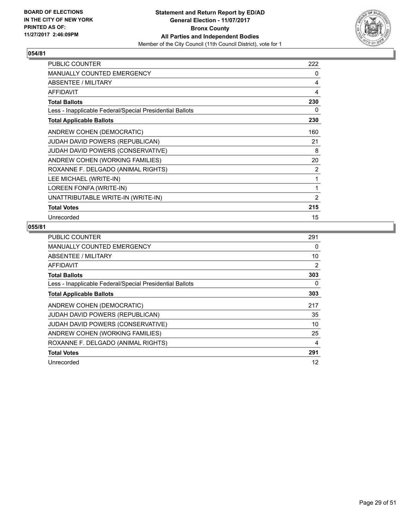

| <b>PUBLIC COUNTER</b>                                    | 222            |
|----------------------------------------------------------|----------------|
| <b>MANUALLY COUNTED EMERGENCY</b>                        | 0              |
| <b>ABSENTEE / MILITARY</b>                               | 4              |
| <b>AFFIDAVIT</b>                                         | 4              |
| <b>Total Ballots</b>                                     | 230            |
| Less - Inapplicable Federal/Special Presidential Ballots | 0              |
| <b>Total Applicable Ballots</b>                          | 230            |
| ANDREW COHEN (DEMOCRATIC)                                | 160            |
| <b>JUDAH DAVID POWERS (REPUBLICAN)</b>                   | 21             |
| JUDAH DAVID POWERS (CONSERVATIVE)                        | 8              |
| ANDREW COHEN (WORKING FAMILIES)                          | 20             |
| ROXANNE F. DELGADO (ANIMAL RIGHTS)                       | 2              |
| LEE MICHAEL (WRITE-IN)                                   | 1              |
| LOREEN FONFA (WRITE-IN)                                  | 1              |
| UNATTRIBUTABLE WRITE-IN (WRITE-IN)                       | $\overline{2}$ |
| <b>Total Votes</b>                                       | 215            |
| Unrecorded                                               | 15             |

| <b>PUBLIC COUNTER</b>                                    | 291 |
|----------------------------------------------------------|-----|
| <b>MANUALLY COUNTED EMERGENCY</b>                        | 0   |
| ABSENTEE / MILITARY                                      | 10  |
| AFFIDAVIT                                                | 2   |
| <b>Total Ballots</b>                                     | 303 |
| Less - Inapplicable Federal/Special Presidential Ballots | 0   |
| <b>Total Applicable Ballots</b>                          | 303 |
| ANDREW COHEN (DEMOCRATIC)                                | 217 |
| <b>JUDAH DAVID POWERS (REPUBLICAN)</b>                   | 35  |
| JUDAH DAVID POWERS (CONSERVATIVE)                        | 10  |
| ANDREW COHEN (WORKING FAMILIES)                          | 25  |
| ROXANNE F. DELGADO (ANIMAL RIGHTS)                       | 4   |
| <b>Total Votes</b>                                       | 291 |
| Unrecorded                                               | 12  |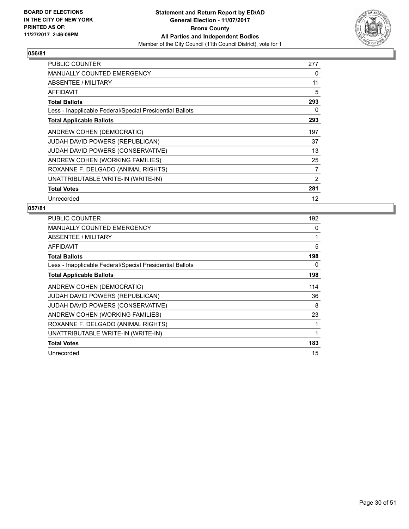

| <b>PUBLIC COUNTER</b>                                    | 277 |
|----------------------------------------------------------|-----|
| <b>MANUALLY COUNTED EMERGENCY</b>                        | 0   |
| ABSENTEE / MILITARY                                      | 11  |
| AFFIDAVIT                                                | 5   |
| <b>Total Ballots</b>                                     | 293 |
| Less - Inapplicable Federal/Special Presidential Ballots | 0   |
| <b>Total Applicable Ballots</b>                          | 293 |
| ANDREW COHEN (DEMOCRATIC)                                | 197 |
| <b>JUDAH DAVID POWERS (REPUBLICAN)</b>                   | 37  |
| JUDAH DAVID POWERS (CONSERVATIVE)                        | 13  |
| ANDREW COHEN (WORKING FAMILIES)                          | 25  |
| ROXANNE F. DELGADO (ANIMAL RIGHTS)                       | 7   |
| UNATTRIBUTABLE WRITE-IN (WRITE-IN)                       | 2   |
| <b>Total Votes</b>                                       | 281 |
| Unrecorded                                               | 12  |

| <b>PUBLIC COUNTER</b>                                    | 192 |
|----------------------------------------------------------|-----|
| <b>MANUALLY COUNTED EMERGENCY</b>                        | 0   |
| ABSENTEE / MILITARY                                      |     |
| AFFIDAVIT                                                | 5   |
| <b>Total Ballots</b>                                     | 198 |
| Less - Inapplicable Federal/Special Presidential Ballots | 0   |
| <b>Total Applicable Ballots</b>                          | 198 |
| ANDREW COHEN (DEMOCRATIC)                                | 114 |
| JUDAH DAVID POWERS (REPUBLICAN)                          | 36  |
| JUDAH DAVID POWERS (CONSERVATIVE)                        | 8   |
| ANDREW COHEN (WORKING FAMILIES)                          | 23  |
| ROXANNE F. DELGADO (ANIMAL RIGHTS)                       |     |
| UNATTRIBUTABLE WRITE-IN (WRITE-IN)                       | 1   |
| <b>Total Votes</b>                                       | 183 |
| Unrecorded                                               | 15  |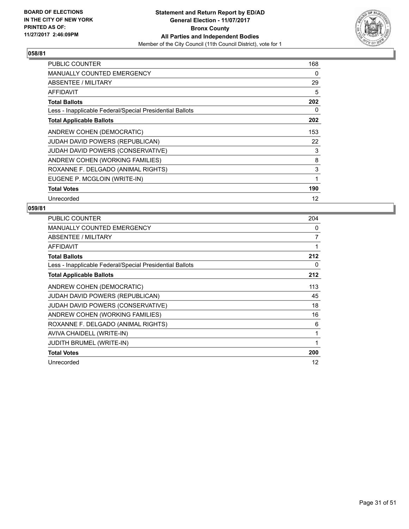

| <b>PUBLIC COUNTER</b>                                    | 168 |
|----------------------------------------------------------|-----|
| <b>MANUALLY COUNTED EMERGENCY</b>                        | 0   |
| ABSENTEE / MILITARY                                      | 29  |
| AFFIDAVIT                                                | 5   |
| <b>Total Ballots</b>                                     | 202 |
| Less - Inapplicable Federal/Special Presidential Ballots | 0   |
| <b>Total Applicable Ballots</b>                          | 202 |
| ANDREW COHEN (DEMOCRATIC)                                | 153 |
| JUDAH DAVID POWERS (REPUBLICAN)                          | 22  |
| JUDAH DAVID POWERS (CONSERVATIVE)                        | 3   |
| ANDREW COHEN (WORKING FAMILIES)                          | 8   |
| ROXANNE F. DELGADO (ANIMAL RIGHTS)                       | 3   |
| EUGENE P. MCGLOIN (WRITE-IN)                             | 1   |
| <b>Total Votes</b>                                       | 190 |
| Unrecorded                                               | 12  |

| <b>PUBLIC COUNTER</b>                                    | 204 |
|----------------------------------------------------------|-----|
| MANUALLY COUNTED EMERGENCY                               | 0   |
| ABSENTEE / MILITARY                                      | 7   |
| AFFIDAVIT                                                | 1   |
| <b>Total Ballots</b>                                     | 212 |
| Less - Inapplicable Federal/Special Presidential Ballots | 0   |
| <b>Total Applicable Ballots</b>                          | 212 |
| ANDREW COHEN (DEMOCRATIC)                                | 113 |
| JUDAH DAVID POWERS (REPUBLICAN)                          | 45  |
| JUDAH DAVID POWERS (CONSERVATIVE)                        | 18  |
| ANDREW COHEN (WORKING FAMILIES)                          | 16  |
| ROXANNE F. DELGADO (ANIMAL RIGHTS)                       | 6   |
| AVIVA CHAIDELL (WRITE-IN)                                | 1   |
| <b>JUDITH BRUMEL (WRITE-IN)</b>                          | 1   |
| <b>Total Votes</b>                                       | 200 |
| Unrecorded                                               | 12  |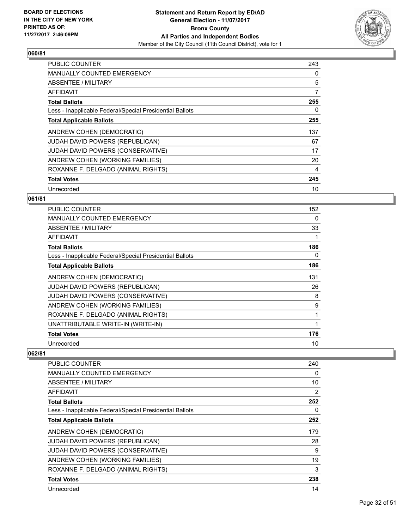

| <b>PUBLIC COUNTER</b>                                    | 243 |
|----------------------------------------------------------|-----|
| <b>MANUALLY COUNTED EMERGENCY</b>                        | 0   |
| <b>ABSENTEE / MILITARY</b>                               | 5   |
| AFFIDAVIT                                                | 7   |
| <b>Total Ballots</b>                                     | 255 |
| Less - Inapplicable Federal/Special Presidential Ballots | 0   |
| <b>Total Applicable Ballots</b>                          | 255 |
| ANDREW COHEN (DEMOCRATIC)                                | 137 |
| <b>JUDAH DAVID POWERS (REPUBLICAN)</b>                   | 67  |
| JUDAH DAVID POWERS (CONSERVATIVE)                        | 17  |
| ANDREW COHEN (WORKING FAMILIES)                          | 20  |
| ROXANNE F. DELGADO (ANIMAL RIGHTS)                       | 4   |
| <b>Total Votes</b>                                       | 245 |
| Unrecorded                                               | 10  |

## **061/81**

| <b>PUBLIC COUNTER</b>                                    | 152 |
|----------------------------------------------------------|-----|
| <b>MANUALLY COUNTED EMERGENCY</b>                        | 0   |
| ABSENTEE / MILITARY                                      | 33  |
| AFFIDAVIT                                                |     |
| <b>Total Ballots</b>                                     | 186 |
| Less - Inapplicable Federal/Special Presidential Ballots | 0   |
| <b>Total Applicable Ballots</b>                          | 186 |
| ANDREW COHEN (DEMOCRATIC)                                | 131 |
| <b>JUDAH DAVID POWERS (REPUBLICAN)</b>                   | 26  |
| JUDAH DAVID POWERS (CONSERVATIVE)                        | 8   |
| ANDREW COHEN (WORKING FAMILIES)                          | 9   |
| ROXANNE F. DELGADO (ANIMAL RIGHTS)                       | 1   |
| UNATTRIBUTABLE WRITE-IN (WRITE-IN)                       | 1   |
| <b>Total Votes</b>                                       | 176 |
| Unrecorded                                               | 10  |

| PUBLIC COUNTER                                           | 240            |
|----------------------------------------------------------|----------------|
| <b>MANUALLY COUNTED EMERGENCY</b>                        | 0              |
| ABSENTEE / MILITARY                                      | 10             |
| <b>AFFIDAVIT</b>                                         | $\overline{2}$ |
| <b>Total Ballots</b>                                     | 252            |
| Less - Inapplicable Federal/Special Presidential Ballots | 0              |
| <b>Total Applicable Ballots</b>                          | 252            |
| ANDREW COHEN (DEMOCRATIC)                                | 179            |
| JUDAH DAVID POWERS (REPUBLICAN)                          | 28             |
| JUDAH DAVID POWERS (CONSERVATIVE)                        | 9              |
| ANDREW COHEN (WORKING FAMILIES)                          | 19             |
| ROXANNE F. DELGADO (ANIMAL RIGHTS)                       | 3              |
| <b>Total Votes</b>                                       | 238            |
| Unrecorded                                               | 14             |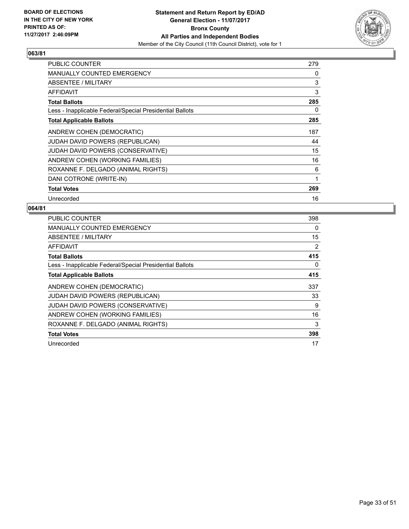

| PUBLIC COUNTER                                           | 279 |
|----------------------------------------------------------|-----|
| <b>MANUALLY COUNTED EMERGENCY</b>                        | 0   |
| ABSENTEE / MILITARY                                      | 3   |
| AFFIDAVIT                                                | 3   |
| <b>Total Ballots</b>                                     | 285 |
| Less - Inapplicable Federal/Special Presidential Ballots | 0   |
| <b>Total Applicable Ballots</b>                          | 285 |
| ANDREW COHEN (DEMOCRATIC)                                | 187 |
| <b>JUDAH DAVID POWERS (REPUBLICAN)</b>                   | 44  |
| JUDAH DAVID POWERS (CONSERVATIVE)                        | 15  |
| ANDREW COHEN (WORKING FAMILIES)                          | 16  |
| ROXANNE F. DELGADO (ANIMAL RIGHTS)                       | 6   |
| DANI COTRONE (WRITE-IN)                                  | 1   |
| <b>Total Votes</b>                                       | 269 |
| Unrecorded                                               | 16  |

| PUBLIC COUNTER                                           | 398 |
|----------------------------------------------------------|-----|
| <b>MANUALLY COUNTED EMERGENCY</b>                        | 0   |
| <b>ABSENTEE / MILITARY</b>                               | 15  |
| AFFIDAVIT                                                | 2   |
| <b>Total Ballots</b>                                     | 415 |
| Less - Inapplicable Federal/Special Presidential Ballots | 0   |
| <b>Total Applicable Ballots</b>                          | 415 |
| ANDREW COHEN (DEMOCRATIC)                                | 337 |
| <b>JUDAH DAVID POWERS (REPUBLICAN)</b>                   | 33  |
| JUDAH DAVID POWERS (CONSERVATIVE)                        | 9   |
| ANDREW COHEN (WORKING FAMILIES)                          | 16  |
| ROXANNE F. DELGADO (ANIMAL RIGHTS)                       | 3   |
|                                                          |     |
| <b>Total Votes</b>                                       | 398 |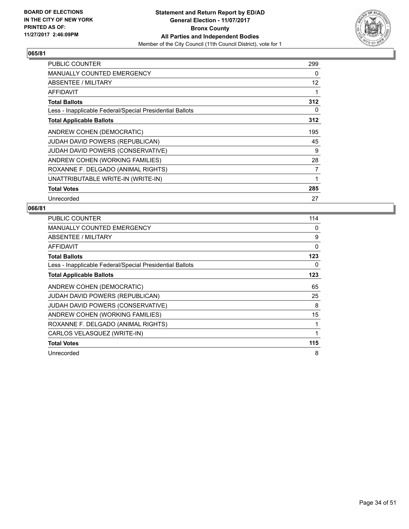

| <b>PUBLIC COUNTER</b>                                    | 299 |
|----------------------------------------------------------|-----|
| <b>MANUALLY COUNTED EMERGENCY</b>                        | 0   |
| ABSENTEE / MILITARY                                      | 12  |
| AFFIDAVIT                                                | 1   |
| <b>Total Ballots</b>                                     | 312 |
| Less - Inapplicable Federal/Special Presidential Ballots | 0   |
| <b>Total Applicable Ballots</b>                          | 312 |
| ANDREW COHEN (DEMOCRATIC)                                | 195 |
| <b>JUDAH DAVID POWERS (REPUBLICAN)</b>                   | 45  |
| JUDAH DAVID POWERS (CONSERVATIVE)                        | 9   |
| ANDREW COHEN (WORKING FAMILIES)                          | 28  |
| ROXANNE F. DELGADO (ANIMAL RIGHTS)                       | 7   |
| UNATTRIBUTABLE WRITE-IN (WRITE-IN)                       | 1   |
| <b>Total Votes</b>                                       | 285 |
| Unrecorded                                               | 27  |

| <b>PUBLIC COUNTER</b>                                    | 114 |
|----------------------------------------------------------|-----|
| <b>MANUALLY COUNTED EMERGENCY</b>                        | 0   |
| ABSENTEE / MILITARY                                      | 9   |
| AFFIDAVIT                                                | 0   |
| <b>Total Ballots</b>                                     | 123 |
| Less - Inapplicable Federal/Special Presidential Ballots | 0   |
| <b>Total Applicable Ballots</b>                          | 123 |
| ANDREW COHEN (DEMOCRATIC)                                | 65  |
| JUDAH DAVID POWERS (REPUBLICAN)                          | 25  |
| JUDAH DAVID POWERS (CONSERVATIVE)                        | 8   |
| ANDREW COHEN (WORKING FAMILIES)                          | 15  |
| ROXANNE F. DELGADO (ANIMAL RIGHTS)                       | 1   |
| CARLOS VELASQUEZ (WRITE-IN)                              | 1   |
| <b>Total Votes</b>                                       | 115 |
| Unrecorded                                               | 8   |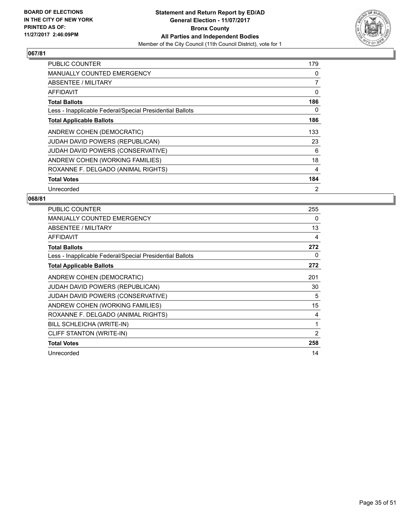

| <b>PUBLIC COUNTER</b>                                    | 179            |
|----------------------------------------------------------|----------------|
| <b>MANUALLY COUNTED EMERGENCY</b>                        | 0              |
| ABSENTEE / MILITARY                                      | 7              |
| AFFIDAVIT                                                | 0              |
| <b>Total Ballots</b>                                     | 186            |
| Less - Inapplicable Federal/Special Presidential Ballots | 0              |
| <b>Total Applicable Ballots</b>                          | 186            |
| ANDREW COHEN (DEMOCRATIC)                                | 133            |
| JUDAH DAVID POWERS (REPUBLICAN)                          | 23             |
| JUDAH DAVID POWERS (CONSERVATIVE)                        | 6              |
| ANDREW COHEN (WORKING FAMILIES)                          | 18             |
| ROXANNE F. DELGADO (ANIMAL RIGHTS)                       | 4              |
| <b>Total Votes</b>                                       | 184            |
| Unrecorded                                               | $\overline{2}$ |

| <b>PUBLIC COUNTER</b>                                    | 255            |
|----------------------------------------------------------|----------------|
| MANUALLY COUNTED EMERGENCY                               | 0              |
| ABSENTEE / MILITARY                                      | 13             |
| <b>AFFIDAVIT</b>                                         | 4              |
| <b>Total Ballots</b>                                     | 272            |
| Less - Inapplicable Federal/Special Presidential Ballots | 0              |
| <b>Total Applicable Ballots</b>                          | 272            |
| ANDREW COHEN (DEMOCRATIC)                                | 201            |
| <b>JUDAH DAVID POWERS (REPUBLICAN)</b>                   | 30             |
| <b>JUDAH DAVID POWERS (CONSERVATIVE)</b>                 | 5              |
| ANDREW COHEN (WORKING FAMILIES)                          | 15             |
| ROXANNE F. DELGADO (ANIMAL RIGHTS)                       | 4              |
| BILL SCHLEICHA (WRITE-IN)                                | 1              |
| CLIFF STANTON (WRITE-IN)                                 | $\overline{2}$ |
| <b>Total Votes</b>                                       | 258            |
| Unrecorded                                               | 14             |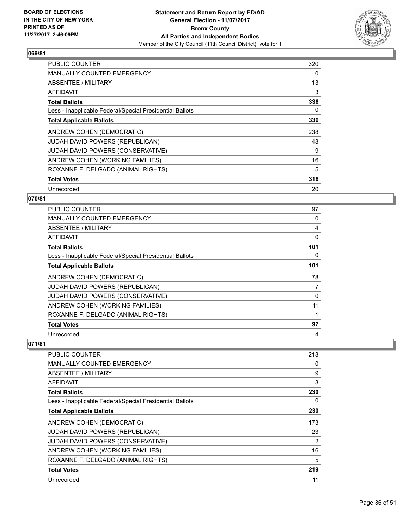

| <b>PUBLIC COUNTER</b>                                    | 320 |
|----------------------------------------------------------|-----|
| <b>MANUALLY COUNTED EMERGENCY</b>                        | 0   |
| ABSENTEE / MILITARY                                      | 13  |
| AFFIDAVIT                                                | 3   |
| <b>Total Ballots</b>                                     | 336 |
| Less - Inapplicable Federal/Special Presidential Ballots | 0   |
| <b>Total Applicable Ballots</b>                          | 336 |
| ANDREW COHEN (DEMOCRATIC)                                | 238 |
| <b>JUDAH DAVID POWERS (REPUBLICAN)</b>                   | 48  |
| JUDAH DAVID POWERS (CONSERVATIVE)                        | 9   |
| ANDREW COHEN (WORKING FAMILIES)                          | 16  |
| ROXANNE F. DELGADO (ANIMAL RIGHTS)                       | 5   |
| <b>Total Votes</b>                                       | 316 |
| Unrecorded                                               | 20  |

## **070/81**

| <b>PUBLIC COUNTER</b>                                    | 97  |
|----------------------------------------------------------|-----|
| <b>MANUALLY COUNTED EMERGENCY</b>                        | 0   |
| ABSENTEE / MILITARY                                      | 4   |
| AFFIDAVIT                                                | 0   |
| <b>Total Ballots</b>                                     | 101 |
| Less - Inapplicable Federal/Special Presidential Ballots | 0   |
| <b>Total Applicable Ballots</b>                          | 101 |
| ANDREW COHEN (DEMOCRATIC)                                | 78  |
| <b>JUDAH DAVID POWERS (REPUBLICAN)</b>                   | 7   |
| JUDAH DAVID POWERS (CONSERVATIVE)                        | 0   |
| ANDREW COHEN (WORKING FAMILIES)                          | 11  |
| ROXANNE F. DELGADO (ANIMAL RIGHTS)                       |     |
| <b>Total Votes</b>                                       | 97  |
| Unrecorded                                               | 4   |

| <b>PUBLIC COUNTER</b>                                    | 218 |
|----------------------------------------------------------|-----|
| MANUALLY COUNTED EMERGENCY                               | 0   |
| ABSENTEE / MILITARY                                      | 9   |
| <b>AFFIDAVIT</b>                                         | 3   |
| <b>Total Ballots</b>                                     | 230 |
| Less - Inapplicable Federal/Special Presidential Ballots | 0   |
| <b>Total Applicable Ballots</b>                          | 230 |
| ANDREW COHEN (DEMOCRATIC)                                | 173 |
| <b>JUDAH DAVID POWERS (REPUBLICAN)</b>                   | 23  |
| JUDAH DAVID POWERS (CONSERVATIVE)                        | 2   |
| ANDREW COHEN (WORKING FAMILIES)                          | 16  |
| ROXANNE F. DELGADO (ANIMAL RIGHTS)                       | 5   |
| <b>Total Votes</b>                                       | 219 |
| Unrecorded                                               | 11  |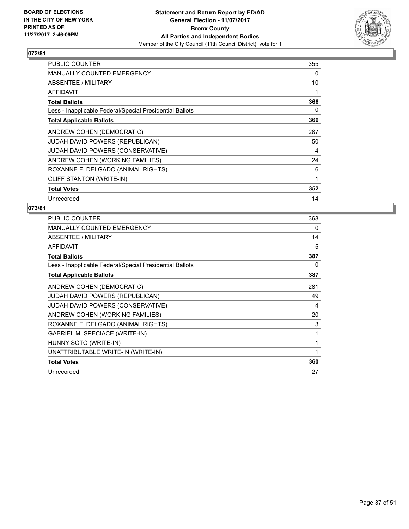

| PUBLIC COUNTER                                           | 355 |
|----------------------------------------------------------|-----|
| <b>MANUALLY COUNTED EMERGENCY</b>                        | 0   |
| ABSENTEE / MILITARY                                      | 10  |
| AFFIDAVIT                                                | 1   |
| <b>Total Ballots</b>                                     | 366 |
| Less - Inapplicable Federal/Special Presidential Ballots | 0   |
| <b>Total Applicable Ballots</b>                          | 366 |
| ANDREW COHEN (DEMOCRATIC)                                | 267 |
| <b>JUDAH DAVID POWERS (REPUBLICAN)</b>                   | 50  |
| JUDAH DAVID POWERS (CONSERVATIVE)                        | 4   |
| ANDREW COHEN (WORKING FAMILIES)                          | 24  |
| ROXANNE F. DELGADO (ANIMAL RIGHTS)                       | 6   |
| CLIFF STANTON (WRITE-IN)                                 | 1   |
| <b>Total Votes</b>                                       | 352 |
| Unrecorded                                               | 14  |

| <b>PUBLIC COUNTER</b>                                    | 368 |
|----------------------------------------------------------|-----|
| <b>MANUALLY COUNTED EMERGENCY</b>                        | 0   |
| ABSENTEE / MILITARY                                      | 14  |
| <b>AFFIDAVIT</b>                                         | 5   |
| <b>Total Ballots</b>                                     | 387 |
| Less - Inapplicable Federal/Special Presidential Ballots | 0   |
| <b>Total Applicable Ballots</b>                          | 387 |
| ANDREW COHEN (DEMOCRATIC)                                | 281 |
| <b>JUDAH DAVID POWERS (REPUBLICAN)</b>                   | 49  |
| JUDAH DAVID POWERS (CONSERVATIVE)                        | 4   |
| ANDREW COHEN (WORKING FAMILIES)                          | 20  |
| ROXANNE F. DELGADO (ANIMAL RIGHTS)                       | 3   |
| GABRIEL M. SPECIACE (WRITE-IN)                           | 1   |
| HUNNY SOTO (WRITE-IN)                                    | 1   |
| UNATTRIBUTABLE WRITE-IN (WRITE-IN)                       | 1   |
| <b>Total Votes</b>                                       | 360 |
| Unrecorded                                               | 27  |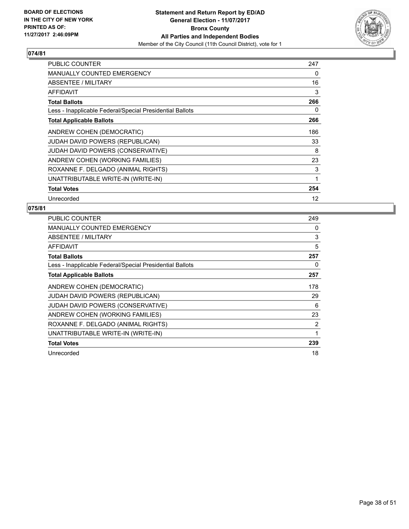

| <b>PUBLIC COUNTER</b>                                    | 247 |
|----------------------------------------------------------|-----|
| <b>MANUALLY COUNTED EMERGENCY</b>                        | 0   |
| ABSENTEE / MILITARY                                      | 16  |
| AFFIDAVIT                                                | 3   |
| <b>Total Ballots</b>                                     | 266 |
| Less - Inapplicable Federal/Special Presidential Ballots | 0   |
| <b>Total Applicable Ballots</b>                          | 266 |
| ANDREW COHEN (DEMOCRATIC)                                | 186 |
| <b>JUDAH DAVID POWERS (REPUBLICAN)</b>                   | 33  |
| JUDAH DAVID POWERS (CONSERVATIVE)                        | 8   |
| ANDREW COHEN (WORKING FAMILIES)                          | 23  |
| ROXANNE F. DELGADO (ANIMAL RIGHTS)                       | 3   |
| UNATTRIBUTABLE WRITE-IN (WRITE-IN)                       | 1   |
| <b>Total Votes</b>                                       | 254 |
| Unrecorded                                               | 12  |

| <b>PUBLIC COUNTER</b>                                    | 249 |
|----------------------------------------------------------|-----|
| <b>MANUALLY COUNTED EMERGENCY</b>                        | 0   |
| ABSENTEE / MILITARY                                      | 3   |
| AFFIDAVIT                                                | 5   |
| <b>Total Ballots</b>                                     | 257 |
| Less - Inapplicable Federal/Special Presidential Ballots | 0   |
| <b>Total Applicable Ballots</b>                          | 257 |
| ANDREW COHEN (DEMOCRATIC)                                | 178 |
| JUDAH DAVID POWERS (REPUBLICAN)                          | 29  |
| JUDAH DAVID POWERS (CONSERVATIVE)                        | 6   |
| ANDREW COHEN (WORKING FAMILIES)                          | 23  |
| ROXANNE F. DELGADO (ANIMAL RIGHTS)                       | 2   |
| UNATTRIBUTABLE WRITE-IN (WRITE-IN)                       | 1   |
| <b>Total Votes</b>                                       | 239 |
| Unrecorded                                               | 18  |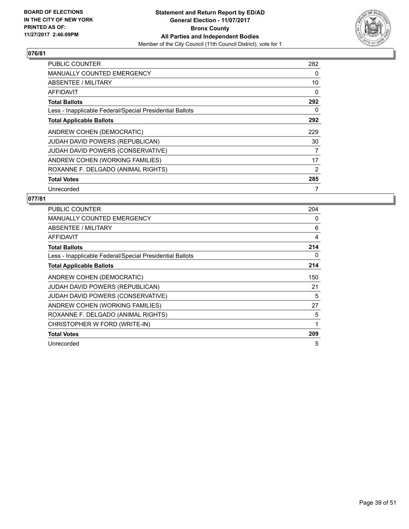

| <b>PUBLIC COUNTER</b>                                    | 282 |
|----------------------------------------------------------|-----|
| <b>MANUALLY COUNTED EMERGENCY</b>                        | 0   |
| <b>ABSENTEE / MILITARY</b>                               | 10  |
| AFFIDAVIT                                                | 0   |
| <b>Total Ballots</b>                                     | 292 |
| Less - Inapplicable Federal/Special Presidential Ballots | 0   |
| <b>Total Applicable Ballots</b>                          | 292 |
| ANDREW COHEN (DEMOCRATIC)                                | 229 |
| JUDAH DAVID POWERS (REPUBLICAN)                          | 30  |
| <b>JUDAH DAVID POWERS (CONSERVATIVE)</b>                 | 7   |
| ANDREW COHEN (WORKING FAMILIES)                          | 17  |
| ROXANNE F. DELGADO (ANIMAL RIGHTS)                       | 2   |
| <b>Total Votes</b>                                       | 285 |
| Unrecorded                                               | 7   |

| <b>PUBLIC COUNTER</b>                                    | 204 |
|----------------------------------------------------------|-----|
| <b>MANUALLY COUNTED EMERGENCY</b>                        | 0   |
| ABSENTEE / MILITARY                                      | 6   |
| AFFIDAVIT                                                | 4   |
| <b>Total Ballots</b>                                     | 214 |
| Less - Inapplicable Federal/Special Presidential Ballots | 0   |
| <b>Total Applicable Ballots</b>                          | 214 |
| ANDREW COHEN (DEMOCRATIC)                                | 150 |
| JUDAH DAVID POWERS (REPUBLICAN)                          | 21  |
| JUDAH DAVID POWERS (CONSERVATIVE)                        | 5   |
| ANDREW COHEN (WORKING FAMILIES)                          | 27  |
| ROXANNE F. DELGADO (ANIMAL RIGHTS)                       | 5   |
| CHRISTOPHER W FORD (WRITE-IN)                            | 1   |
| <b>Total Votes</b>                                       | 209 |
| Unrecorded                                               | 5   |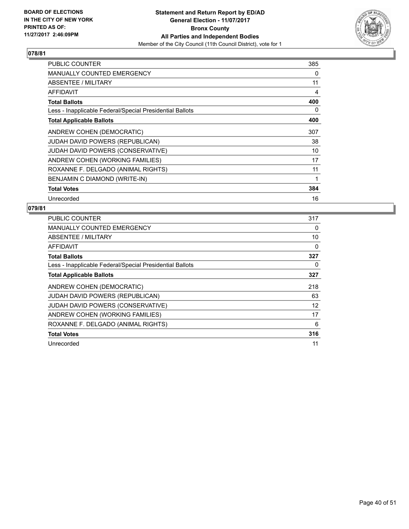

| <b>PUBLIC COUNTER</b>                                    | 385 |
|----------------------------------------------------------|-----|
| <b>MANUALLY COUNTED EMERGENCY</b>                        | 0   |
| <b>ABSENTEE / MILITARY</b>                               | 11  |
| <b>AFFIDAVIT</b>                                         | 4   |
| <b>Total Ballots</b>                                     | 400 |
| Less - Inapplicable Federal/Special Presidential Ballots | 0   |
| <b>Total Applicable Ballots</b>                          | 400 |
| ANDREW COHEN (DEMOCRATIC)                                | 307 |
| <b>JUDAH DAVID POWERS (REPUBLICAN)</b>                   | 38  |
| JUDAH DAVID POWERS (CONSERVATIVE)                        | 10  |
| ANDREW COHEN (WORKING FAMILIES)                          | 17  |
| ROXANNE F. DELGADO (ANIMAL RIGHTS)                       | 11  |
| BENJAMIN C DIAMOND (WRITE-IN)                            | 1   |
| <b>Total Votes</b>                                       | 384 |
| Unrecorded                                               | 16  |

| <b>PUBLIC COUNTER</b>                                    | 317 |
|----------------------------------------------------------|-----|
| <b>MANUALLY COUNTED EMERGENCY</b>                        | 0   |
| <b>ABSENTEE / MILITARY</b>                               | 10  |
| AFFIDAVIT                                                | 0   |
| <b>Total Ballots</b>                                     | 327 |
| Less - Inapplicable Federal/Special Presidential Ballots | 0   |
| <b>Total Applicable Ballots</b>                          | 327 |
| ANDREW COHEN (DEMOCRATIC)                                | 218 |
| <b>JUDAH DAVID POWERS (REPUBLICAN)</b>                   | 63  |
| JUDAH DAVID POWERS (CONSERVATIVE)                        | 12  |
| ANDREW COHEN (WORKING FAMILIES)                          | 17  |
| ROXANNE F. DELGADO (ANIMAL RIGHTS)                       | 6   |
| <b>Total Votes</b>                                       | 316 |
| Unrecorded                                               | 11  |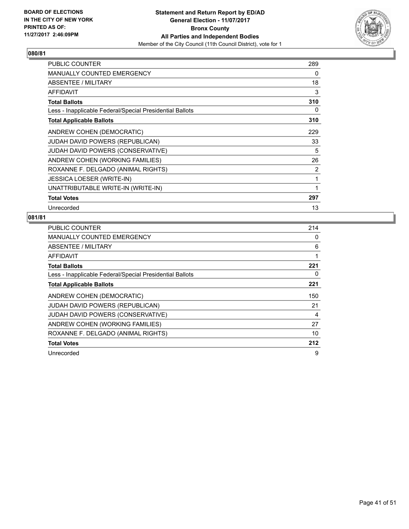

| <b>PUBLIC COUNTER</b>                                    | 289 |
|----------------------------------------------------------|-----|
| MANUALLY COUNTED EMERGENCY                               | 0   |
| ABSENTEE / MILITARY                                      | 18  |
| <b>AFFIDAVIT</b>                                         | 3   |
| <b>Total Ballots</b>                                     | 310 |
| Less - Inapplicable Federal/Special Presidential Ballots | 0   |
| <b>Total Applicable Ballots</b>                          | 310 |
| ANDREW COHEN (DEMOCRATIC)                                | 229 |
| JUDAH DAVID POWERS (REPUBLICAN)                          | 33  |
| <b>JUDAH DAVID POWERS (CONSERVATIVE)</b>                 | 5   |
| ANDREW COHEN (WORKING FAMILIES)                          | 26  |
| ROXANNE F. DELGADO (ANIMAL RIGHTS)                       | 2   |
| <b>JESSICA LOESER (WRITE-IN)</b>                         | 1   |
| UNATTRIBUTABLE WRITE-IN (WRITE-IN)                       | 1   |
| <b>Total Votes</b>                                       | 297 |
| Unrecorded                                               | 13  |

| <b>PUBLIC COUNTER</b>                                    | 214 |
|----------------------------------------------------------|-----|
| <b>MANUALLY COUNTED EMERGENCY</b>                        | 0   |
| ABSENTEE / MILITARY                                      | 6   |
| AFFIDAVIT                                                | 1   |
| <b>Total Ballots</b>                                     | 221 |
| Less - Inapplicable Federal/Special Presidential Ballots | 0   |
| <b>Total Applicable Ballots</b>                          | 221 |
| ANDREW COHEN (DEMOCRATIC)                                | 150 |
| JUDAH DAVID POWERS (REPUBLICAN)                          | 21  |
| JUDAH DAVID POWERS (CONSERVATIVE)                        | 4   |
| ANDREW COHEN (WORKING FAMILIES)                          | 27  |
| ROXANNE F. DELGADO (ANIMAL RIGHTS)                       | 10  |
| <b>Total Votes</b>                                       | 212 |
| Unrecorded                                               | 9   |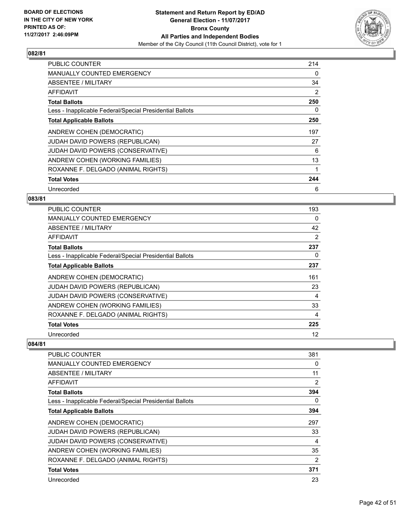

| <b>PUBLIC COUNTER</b>                                    | 214 |
|----------------------------------------------------------|-----|
| <b>MANUALLY COUNTED EMERGENCY</b>                        | 0   |
| ABSENTEE / MILITARY                                      | 34  |
| AFFIDAVIT                                                | 2   |
| <b>Total Ballots</b>                                     | 250 |
| Less - Inapplicable Federal/Special Presidential Ballots | 0   |
| <b>Total Applicable Ballots</b>                          | 250 |
| ANDREW COHEN (DEMOCRATIC)                                | 197 |
| <b>JUDAH DAVID POWERS (REPUBLICAN)</b>                   | 27  |
| <b>JUDAH DAVID POWERS (CONSERVATIVE)</b>                 | 6   |
| ANDREW COHEN (WORKING FAMILIES)                          | 13  |
| ROXANNE F. DELGADO (ANIMAL RIGHTS)                       | 1   |
| <b>Total Votes</b>                                       | 244 |
| Unrecorded                                               | 6   |

## **083/81**

| <b>PUBLIC COUNTER</b>                                    | 193 |
|----------------------------------------------------------|-----|
| MANUALLY COUNTED EMERGENCY                               | 0   |
| ABSENTEE / MILITARY                                      | 42  |
| AFFIDAVIT                                                | 2   |
| <b>Total Ballots</b>                                     | 237 |
| Less - Inapplicable Federal/Special Presidential Ballots | 0   |
| <b>Total Applicable Ballots</b>                          | 237 |
| ANDREW COHEN (DEMOCRATIC)                                | 161 |
| JUDAH DAVID POWERS (REPUBLICAN)                          | 23  |
| JUDAH DAVID POWERS (CONSERVATIVE)                        | 4   |
| ANDREW COHEN (WORKING FAMILIES)                          | 33  |
| ROXANNE F. DELGADO (ANIMAL RIGHTS)                       | 4   |
| <b>Total Votes</b>                                       | 225 |
| Unrecorded                                               | 12  |

| <b>PUBLIC COUNTER</b>                                    | 381            |
|----------------------------------------------------------|----------------|
| MANUALLY COUNTED EMERGENCY                               | 0              |
| ABSENTEE / MILITARY                                      | 11             |
| <b>AFFIDAVIT</b>                                         | $\overline{2}$ |
| <b>Total Ballots</b>                                     | 394            |
| Less - Inapplicable Federal/Special Presidential Ballots | 0              |
| <b>Total Applicable Ballots</b>                          | 394            |
| ANDREW COHEN (DEMOCRATIC)                                | 297            |
| <b>JUDAH DAVID POWERS (REPUBLICAN)</b>                   | 33             |
| JUDAH DAVID POWERS (CONSERVATIVE)                        | 4              |
| ANDREW COHEN (WORKING FAMILIES)                          | 35             |
| ROXANNE F. DELGADO (ANIMAL RIGHTS)                       | 2              |
| <b>Total Votes</b>                                       | 371            |
| Unrecorded                                               | 23             |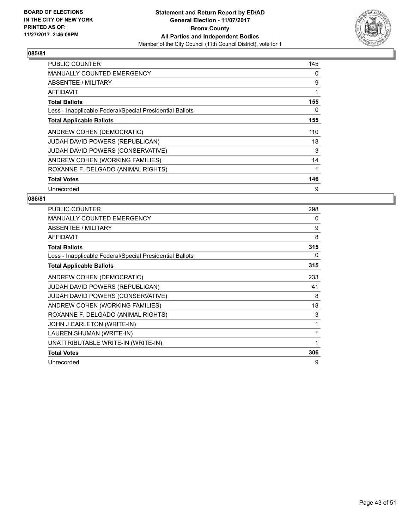

| PUBLIC COUNTER                                           | 145 |
|----------------------------------------------------------|-----|
| <b>MANUALLY COUNTED EMERGENCY</b>                        | 0   |
| <b>ABSENTEE / MILITARY</b>                               | 9   |
| AFFIDAVIT                                                | 1   |
| <b>Total Ballots</b>                                     | 155 |
| Less - Inapplicable Federal/Special Presidential Ballots | 0   |
| <b>Total Applicable Ballots</b>                          | 155 |
| ANDREW COHEN (DEMOCRATIC)                                | 110 |
| JUDAH DAVID POWERS (REPUBLICAN)                          | 18  |
| <b>JUDAH DAVID POWERS (CONSERVATIVE)</b>                 | 3   |
| ANDREW COHEN (WORKING FAMILIES)                          | 14  |
| ROXANNE F. DELGADO (ANIMAL RIGHTS)                       | 1   |
| <b>Total Votes</b>                                       | 146 |
| Unrecorded                                               | 9   |

| PUBLIC COUNTER                                           | 298 |
|----------------------------------------------------------|-----|
| <b>MANUALLY COUNTED EMERGENCY</b>                        | 0   |
| ABSENTEE / MILITARY                                      | 9   |
| <b>AFFIDAVIT</b>                                         | 8   |
| <b>Total Ballots</b>                                     | 315 |
| Less - Inapplicable Federal/Special Presidential Ballots | 0   |
| <b>Total Applicable Ballots</b>                          | 315 |
| ANDREW COHEN (DEMOCRATIC)                                | 233 |
| JUDAH DAVID POWERS (REPUBLICAN)                          | 41  |
| JUDAH DAVID POWERS (CONSERVATIVE)                        | 8   |
| ANDREW COHEN (WORKING FAMILIES)                          | 18  |
| ROXANNE F. DELGADO (ANIMAL RIGHTS)                       | 3   |
| JOHN J CARLETON (WRITE-IN)                               | 1   |
| LAUREN SHUMAN (WRITE-IN)                                 | 1   |
| UNATTRIBUTABLE WRITE-IN (WRITE-IN)                       | 1   |
| <b>Total Votes</b>                                       | 306 |
| Unrecorded                                               | 9   |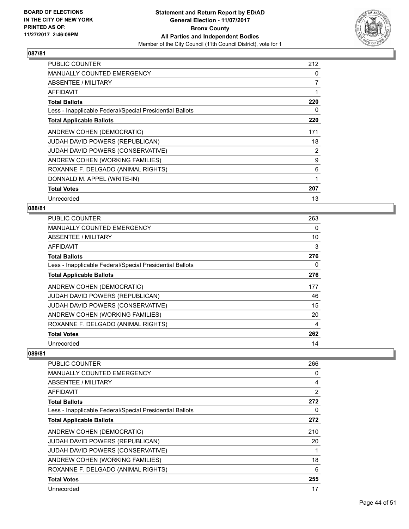

| <b>PUBLIC COUNTER</b>                                    | 212            |
|----------------------------------------------------------|----------------|
| <b>MANUALLY COUNTED EMERGENCY</b>                        | 0              |
| ABSENTEE / MILITARY                                      | 7              |
| AFFIDAVIT                                                | 1              |
| <b>Total Ballots</b>                                     | 220            |
| Less - Inapplicable Federal/Special Presidential Ballots | 0              |
| <b>Total Applicable Ballots</b>                          | 220            |
| ANDREW COHEN (DEMOCRATIC)                                | 171            |
| <b>JUDAH DAVID POWERS (REPUBLICAN)</b>                   | 18             |
| JUDAH DAVID POWERS (CONSERVATIVE)                        | $\overline{2}$ |
| ANDREW COHEN (WORKING FAMILIES)                          | 9              |
| ROXANNE F. DELGADO (ANIMAL RIGHTS)                       | 6              |
| DONNALD M. APPEL (WRITE-IN)                              | 1              |
| <b>Total Votes</b>                                       | 207            |
| Unrecorded                                               | 13             |

#### **088/81**

| <b>PUBLIC COUNTER</b>                                    | 263 |
|----------------------------------------------------------|-----|
| MANUALLY COUNTED EMERGENCY                               | 0   |
| ABSENTEE / MILITARY                                      | 10  |
| AFFIDAVIT                                                | 3   |
| <b>Total Ballots</b>                                     | 276 |
| Less - Inapplicable Federal/Special Presidential Ballots | 0   |
| <b>Total Applicable Ballots</b>                          | 276 |
| ANDREW COHEN (DEMOCRATIC)                                | 177 |
| JUDAH DAVID POWERS (REPUBLICAN)                          | 46  |
| <b>JUDAH DAVID POWERS (CONSERVATIVE)</b>                 | 15  |
| ANDREW COHEN (WORKING FAMILIES)                          | 20  |
| ROXANNE F. DELGADO (ANIMAL RIGHTS)                       | 4   |
| <b>Total Votes</b>                                       | 262 |
| Unrecorded                                               | 14  |

| <b>PUBLIC COUNTER</b>                                    | 266            |
|----------------------------------------------------------|----------------|
| <b>MANUALLY COUNTED EMERGENCY</b>                        | 0              |
| ABSENTEE / MILITARY                                      | 4              |
| <b>AFFIDAVIT</b>                                         | $\overline{2}$ |
| <b>Total Ballots</b>                                     | 272            |
| Less - Inapplicable Federal/Special Presidential Ballots | 0              |
| <b>Total Applicable Ballots</b>                          | 272            |
| ANDREW COHEN (DEMOCRATIC)                                | 210            |
| <b>JUDAH DAVID POWERS (REPUBLICAN)</b>                   | 20             |
| JUDAH DAVID POWERS (CONSERVATIVE)                        |                |
| ANDREW COHEN (WORKING FAMILIES)                          | 18             |
| ROXANNE F. DELGADO (ANIMAL RIGHTS)                       | 6              |
| <b>Total Votes</b>                                       | 255            |
| Unrecorded                                               | 17             |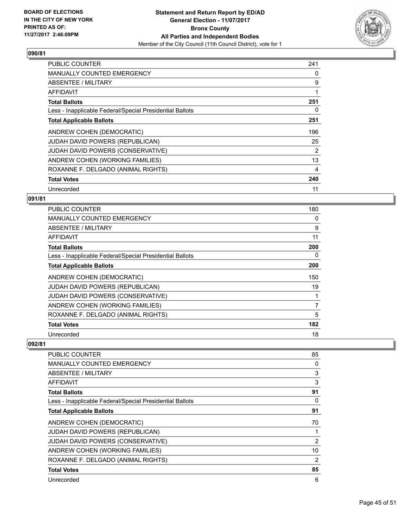

| <b>PUBLIC COUNTER</b>                                    | 241            |
|----------------------------------------------------------|----------------|
| <b>MANUALLY COUNTED EMERGENCY</b>                        | 0              |
| <b>ABSENTEE / MILITARY</b>                               | 9              |
| AFFIDAVIT                                                |                |
| <b>Total Ballots</b>                                     | 251            |
| Less - Inapplicable Federal/Special Presidential Ballots | 0              |
| <b>Total Applicable Ballots</b>                          | 251            |
| ANDREW COHEN (DEMOCRATIC)                                | 196            |
| JUDAH DAVID POWERS (REPUBLICAN)                          | 25             |
| JUDAH DAVID POWERS (CONSERVATIVE)                        | $\overline{2}$ |
| ANDREW COHEN (WORKING FAMILIES)                          | 13             |
| ROXANNE F. DELGADO (ANIMAL RIGHTS)                       | 4              |
| <b>Total Votes</b>                                       | 240            |
| Unrecorded                                               | 11             |

## **091/81**

| <b>PUBLIC COUNTER</b>                                    | 180 |
|----------------------------------------------------------|-----|
| MANUALLY COUNTED EMERGENCY                               | 0   |
| ABSENTEE / MILITARY                                      | 9   |
| AFFIDAVIT                                                | 11  |
| <b>Total Ballots</b>                                     | 200 |
| Less - Inapplicable Federal/Special Presidential Ballots | 0   |
| <b>Total Applicable Ballots</b>                          | 200 |
| ANDREW COHEN (DEMOCRATIC)                                | 150 |
| JUDAH DAVID POWERS (REPUBLICAN)                          | 19  |
| JUDAH DAVID POWERS (CONSERVATIVE)                        |     |
| ANDREW COHEN (WORKING FAMILIES)                          | 7   |
| ROXANNE F. DELGADO (ANIMAL RIGHTS)                       | 5   |
| <b>Total Votes</b>                                       | 182 |
| Unrecorded                                               | 18  |

| <b>PUBLIC COUNTER</b>                                    | 85             |
|----------------------------------------------------------|----------------|
| <b>MANUALLY COUNTED EMERGENCY</b>                        | 0              |
| ABSENTEE / MILITARY                                      | 3              |
| AFFIDAVIT                                                | 3              |
| <b>Total Ballots</b>                                     | 91             |
| Less - Inapplicable Federal/Special Presidential Ballots | 0              |
| <b>Total Applicable Ballots</b>                          | 91             |
| ANDREW COHEN (DEMOCRATIC)                                | 70             |
| <b>JUDAH DAVID POWERS (REPUBLICAN)</b>                   |                |
| JUDAH DAVID POWERS (CONSERVATIVE)                        | 2              |
| ANDREW COHEN (WORKING FAMILIES)                          | 10             |
| ROXANNE F. DELGADO (ANIMAL RIGHTS)                       | $\overline{2}$ |
| <b>Total Votes</b>                                       | 85             |
| Unrecorded                                               | 6              |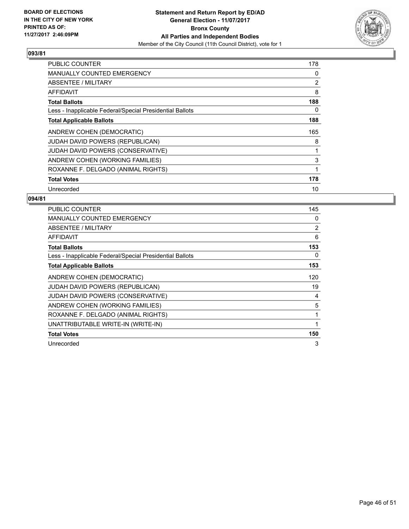

| PUBLIC COUNTER                                           | 178 |
|----------------------------------------------------------|-----|
| <b>MANUALLY COUNTED EMERGENCY</b>                        | 0   |
| <b>ABSENTEE / MILITARY</b>                               | 2   |
| AFFIDAVIT                                                | 8   |
| <b>Total Ballots</b>                                     | 188 |
| Less - Inapplicable Federal/Special Presidential Ballots | 0   |
| <b>Total Applicable Ballots</b>                          | 188 |
| ANDREW COHEN (DEMOCRATIC)                                | 165 |
|                                                          |     |
| JUDAH DAVID POWERS (REPUBLICAN)                          | 8   |
| <b>JUDAH DAVID POWERS (CONSERVATIVE)</b>                 | 1   |
| ANDREW COHEN (WORKING FAMILIES)                          | 3   |
| ROXANNE F. DELGADO (ANIMAL RIGHTS)                       | 1   |
| <b>Total Votes</b>                                       | 178 |

| <b>PUBLIC COUNTER</b>                                    | 145 |
|----------------------------------------------------------|-----|
| <b>MANUALLY COUNTED EMERGENCY</b>                        | 0   |
| ABSENTEE / MILITARY                                      | 2   |
| <b>AFFIDAVIT</b>                                         | 6   |
| <b>Total Ballots</b>                                     | 153 |
| Less - Inapplicable Federal/Special Presidential Ballots | 0   |
| <b>Total Applicable Ballots</b>                          | 153 |
| ANDREW COHEN (DEMOCRATIC)                                | 120 |
| <b>JUDAH DAVID POWERS (REPUBLICAN)</b>                   | 19  |
| JUDAH DAVID POWERS (CONSERVATIVE)                        | 4   |
| ANDREW COHEN (WORKING FAMILIES)                          | 5   |
| ROXANNE F. DELGADO (ANIMAL RIGHTS)                       | 1   |
| UNATTRIBUTABLE WRITE-IN (WRITE-IN)                       |     |
| <b>Total Votes</b>                                       | 150 |
| Unrecorded                                               | 3   |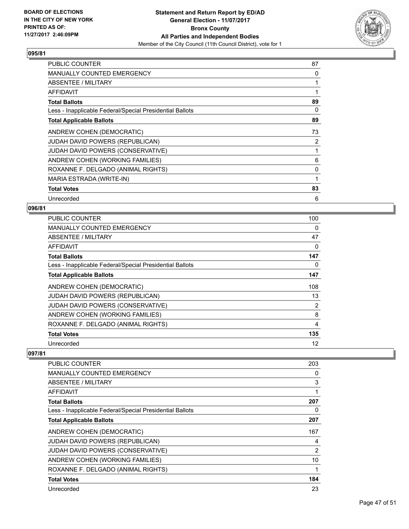

| PUBLIC COUNTER                                           | 87 |
|----------------------------------------------------------|----|
| <b>MANUALLY COUNTED EMERGENCY</b>                        | 0  |
| ABSENTEE / MILITARY                                      |    |
| AFFIDAVIT                                                |    |
| <b>Total Ballots</b>                                     | 89 |
| Less - Inapplicable Federal/Special Presidential Ballots | 0  |
| <b>Total Applicable Ballots</b>                          | 89 |
| ANDREW COHEN (DEMOCRATIC)                                | 73 |
| JUDAH DAVID POWERS (REPUBLICAN)                          | 2  |
| JUDAH DAVID POWERS (CONSERVATIVE)                        | 1  |
| ANDREW COHEN (WORKING FAMILIES)                          | 6  |
| ROXANNE F. DELGADO (ANIMAL RIGHTS)                       | 0  |
| MARIA ESTRADA (WRITE-IN)                                 | 1  |
| <b>Total Votes</b>                                       | 83 |
| Unrecorded                                               | 6  |

#### **096/81**

| <b>PUBLIC COUNTER</b>                                    | 100            |
|----------------------------------------------------------|----------------|
| MANUALLY COUNTED EMERGENCY                               | 0              |
| ABSENTEE / MILITARY                                      | 47             |
| AFFIDAVIT                                                | 0              |
| <b>Total Ballots</b>                                     | 147            |
| Less - Inapplicable Federal/Special Presidential Ballots | 0              |
| <b>Total Applicable Ballots</b>                          | 147            |
| ANDREW COHEN (DEMOCRATIC)                                | 108            |
| JUDAH DAVID POWERS (REPUBLICAN)                          | 13             |
| <b>JUDAH DAVID POWERS (CONSERVATIVE)</b>                 | $\overline{2}$ |
| ANDREW COHEN (WORKING FAMILIES)                          | 8              |
| ROXANNE F. DELGADO (ANIMAL RIGHTS)                       | 4              |
| <b>Total Votes</b>                                       | 135            |
| Unrecorded                                               | 12             |

| <b>PUBLIC COUNTER</b>                                    | 203            |
|----------------------------------------------------------|----------------|
| MANUALLY COUNTED EMERGENCY                               | 0              |
| ABSENTEE / MILITARY                                      | 3              |
| <b>AFFIDAVIT</b>                                         | 1              |
| <b>Total Ballots</b>                                     | 207            |
| Less - Inapplicable Federal/Special Presidential Ballots | 0              |
| <b>Total Applicable Ballots</b>                          | 207            |
| ANDREW COHEN (DEMOCRATIC)                                | 167            |
| <b>JUDAH DAVID POWERS (REPUBLICAN)</b>                   | 4              |
| JUDAH DAVID POWERS (CONSERVATIVE)                        | $\overline{2}$ |
| ANDREW COHEN (WORKING FAMILIES)                          | 10             |
| ROXANNE F. DELGADO (ANIMAL RIGHTS)                       | 1              |
| <b>Total Votes</b>                                       | 184            |
| Unrecorded                                               | 23             |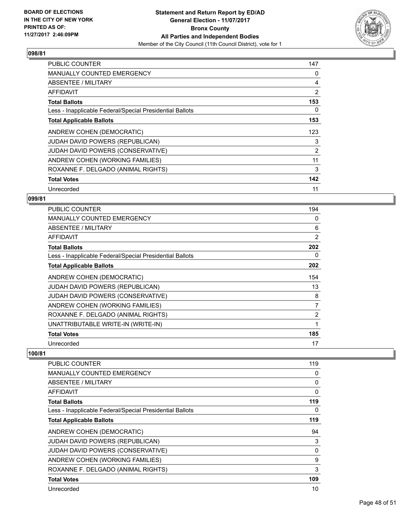

| <b>PUBLIC COUNTER</b>                                    | 147 |
|----------------------------------------------------------|-----|
| <b>MANUALLY COUNTED EMERGENCY</b>                        | 0   |
| <b>ABSENTEE / MILITARY</b>                               | 4   |
| AFFIDAVIT                                                | 2   |
| <b>Total Ballots</b>                                     | 153 |
| Less - Inapplicable Federal/Special Presidential Ballots | 0   |
| <b>Total Applicable Ballots</b>                          | 153 |
| ANDREW COHEN (DEMOCRATIC)                                | 123 |
| <b>JUDAH DAVID POWERS (REPUBLICAN)</b>                   | 3   |
| JUDAH DAVID POWERS (CONSERVATIVE)                        | 2   |
| ANDREW COHEN (WORKING FAMILIES)                          | 11  |
| ROXANNE F. DELGADO (ANIMAL RIGHTS)                       | 3   |
| <b>Total Votes</b>                                       | 142 |
| Unrecorded                                               | 11  |

## **099/81**

| <b>PUBLIC COUNTER</b>                                    | 194            |
|----------------------------------------------------------|----------------|
| <b>MANUALLY COUNTED EMERGENCY</b>                        | 0              |
| ABSENTEE / MILITARY                                      | 6              |
| AFFIDAVIT                                                | $\overline{2}$ |
| <b>Total Ballots</b>                                     | 202            |
| Less - Inapplicable Federal/Special Presidential Ballots | 0              |
| <b>Total Applicable Ballots</b>                          | 202            |
| ANDREW COHEN (DEMOCRATIC)                                | 154            |
| <b>JUDAH DAVID POWERS (REPUBLICAN)</b>                   | 13             |
| JUDAH DAVID POWERS (CONSERVATIVE)                        | 8              |
| ANDREW COHEN (WORKING FAMILIES)                          | 7              |
| ROXANNE F. DELGADO (ANIMAL RIGHTS)                       | $\overline{2}$ |
| UNATTRIBUTABLE WRITE-IN (WRITE-IN)                       | 1              |
| <b>Total Votes</b>                                       | 185            |
| Unrecorded                                               | 17             |

| PUBLIC COUNTER                                           | 119          |
|----------------------------------------------------------|--------------|
| <b>MANUALLY COUNTED EMERGENCY</b>                        | 0            |
| ABSENTEE / MILITARY                                      | 0            |
| AFFIDAVIT                                                | $\mathbf{0}$ |
| <b>Total Ballots</b>                                     | 119          |
| Less - Inapplicable Federal/Special Presidential Ballots | 0            |
| <b>Total Applicable Ballots</b>                          | 119          |
| ANDREW COHEN (DEMOCRATIC)                                | 94           |
| JUDAH DAVID POWERS (REPUBLICAN)                          | 3            |
| JUDAH DAVID POWERS (CONSERVATIVE)                        | 0            |
| ANDREW COHEN (WORKING FAMILIES)                          | 9            |
| ROXANNE F. DELGADO (ANIMAL RIGHTS)                       | 3            |
| <b>Total Votes</b>                                       | 109          |
| Unrecorded                                               | 10           |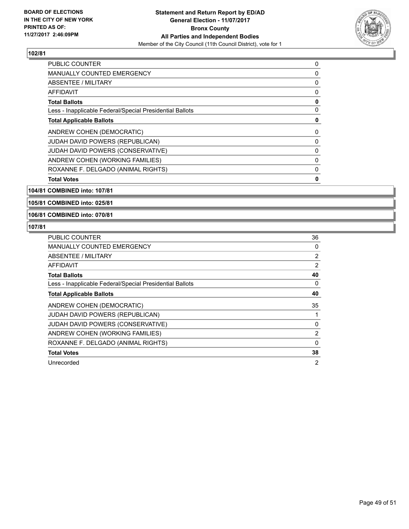

| <b>PUBLIC COUNTER</b>                                    | 0 |
|----------------------------------------------------------|---|
| <b>MANUALLY COUNTED EMERGENCY</b>                        | 0 |
| ABSENTEE / MILITARY                                      | 0 |
| <b>AFFIDAVIT</b>                                         | 0 |
| <b>Total Ballots</b>                                     | 0 |
| Less - Inapplicable Federal/Special Presidential Ballots | 0 |
| <b>Total Applicable Ballots</b>                          | 0 |
| ANDREW COHEN (DEMOCRATIC)                                | 0 |
| <b>JUDAH DAVID POWERS (REPUBLICAN)</b>                   | 0 |
| <b>JUDAH DAVID POWERS (CONSERVATIVE)</b>                 | 0 |
| ANDREW COHEN (WORKING FAMILIES)                          | 0 |
| ROXANNE F. DELGADO (ANIMAL RIGHTS)                       | 0 |
| <b>Total Votes</b>                                       | 0 |

**104/81 COMBINED into: 107/81**

**105/81 COMBINED into: 025/81**

**106/81 COMBINED into: 070/81**

| PUBLIC COUNTER                                           | 36 |
|----------------------------------------------------------|----|
| <b>MANUALLY COUNTED EMERGENCY</b>                        | 0  |
| <b>ABSENTEE / MILITARY</b>                               | 2  |
| <b>AFFIDAVIT</b>                                         | 2  |
| <b>Total Ballots</b>                                     | 40 |
| Less - Inapplicable Federal/Special Presidential Ballots | 0  |
| <b>Total Applicable Ballots</b>                          | 40 |
| ANDREW COHEN (DEMOCRATIC)                                | 35 |
|                                                          |    |
| <b>JUDAH DAVID POWERS (REPUBLICAN)</b>                   |    |
| JUDAH DAVID POWERS (CONSERVATIVE)                        | 0  |
| ANDREW COHEN (WORKING FAMILIES)                          | 2  |
| ROXANNE F. DELGADO (ANIMAL RIGHTS)                       | 0  |
| <b>Total Votes</b>                                       | 38 |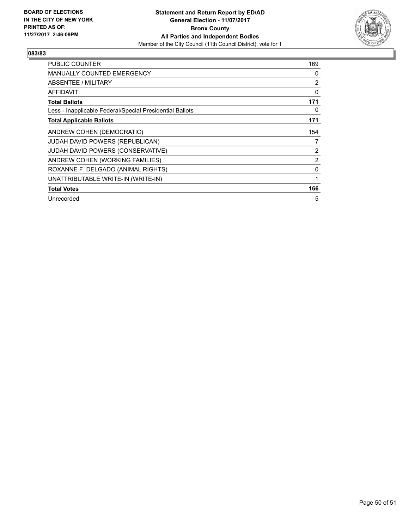

| <b>PUBLIC COUNTER</b>                                    | 169 |
|----------------------------------------------------------|-----|
| <b>MANUALLY COUNTED EMERGENCY</b>                        | 0   |
| ABSENTEE / MILITARY                                      | 2   |
| AFFIDAVIT                                                | 0   |
| <b>Total Ballots</b>                                     | 171 |
| Less - Inapplicable Federal/Special Presidential Ballots | 0   |
| <b>Total Applicable Ballots</b>                          | 171 |
| ANDREW COHEN (DEMOCRATIC)                                | 154 |
| <b>JUDAH DAVID POWERS (REPUBLICAN)</b>                   | 7   |
| <b>JUDAH DAVID POWERS (CONSERVATIVE)</b>                 | 2   |
| ANDREW COHEN (WORKING FAMILIES)                          | 2   |
| ROXANNE F. DELGADO (ANIMAL RIGHTS)                       | 0   |
| UNATTRIBUTABLE WRITE-IN (WRITE-IN)                       | 1   |
| <b>Total Votes</b>                                       | 166 |
| Unrecorded                                               | 5   |